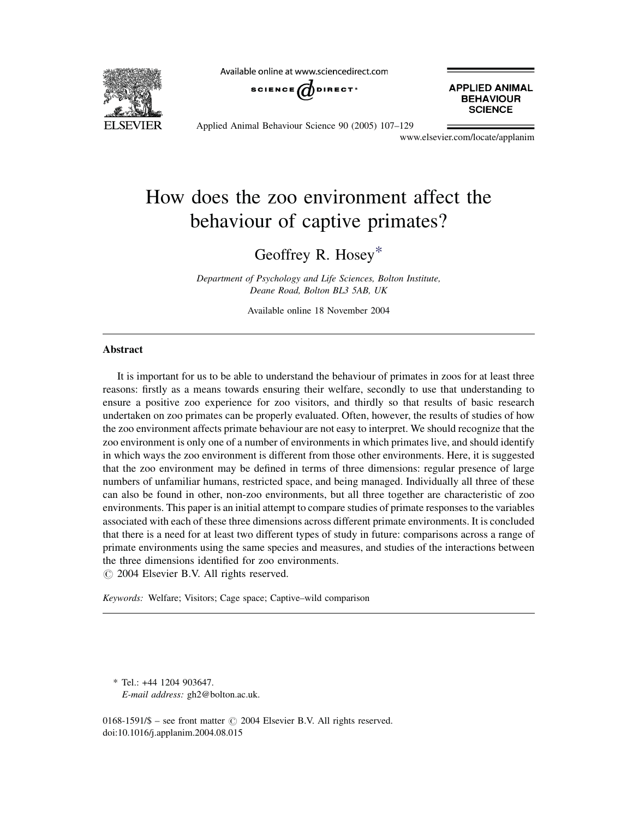

Available online at www.sciencedirect.com



**APPLIED ANIMAL BEHAVIOUR SCIENCE** 

Applied Animal Behaviour Science 90 (2005) 107–129

www.elsevier.com/locate/applanim

# How does the zoo environment affect the behaviour of captive primates?

Geoffrey R. Hosey\*

Department of Psychology and Life Sciences, Bolton Institute, Deane Road, Bolton BL3 5AB, UK

Available online 18 November 2004

#### Abstract

It is important for us to be able to understand the behaviour of primates in zoos for at least three reasons: firstly as a means towards ensuring their welfare, secondly to use that understanding to ensure a positive zoo experience for zoo visitors, and thirdly so that results of basic research undertaken on zoo primates can be properly evaluated. Often, however, the results of studies of how the zoo environment affects primate behaviour are not easy to interpret. We should recognize that the zoo environment is only one of a number of environments in which primates live, and should identify in which ways the zoo environment is different from those other environments. Here, it is suggested that the zoo environment may be defined in terms of three dimensions: regular presence of large numbers of unfamiliar humans, restricted space, and being managed. Individually all three of these can also be found in other, non-zoo environments, but all three together are characteristic of zoo environments. This paper is an initial attempt to compare studies of primate responses to the variables associated with each of these three dimensions across different primate environments. It is concluded that there is a need for at least two different types of study in future: comparisons across a range of primate environments using the same species and measures, and studies of the interactions between the three dimensions identified for zoo environments.  $\odot$  2004 Elsevier B.V. All rights reserved.

Keywords: Welfare; Visitors; Cage space; Captive–wild comparison

\* Tel.: +44 1204 903647. E-mail address: gh2@bolton.ac.uk.

0168-1591/\$ – see front matter  $\odot$  2004 Elsevier B.V. All rights reserved. doi:10.1016/j.applanim.2004.08.015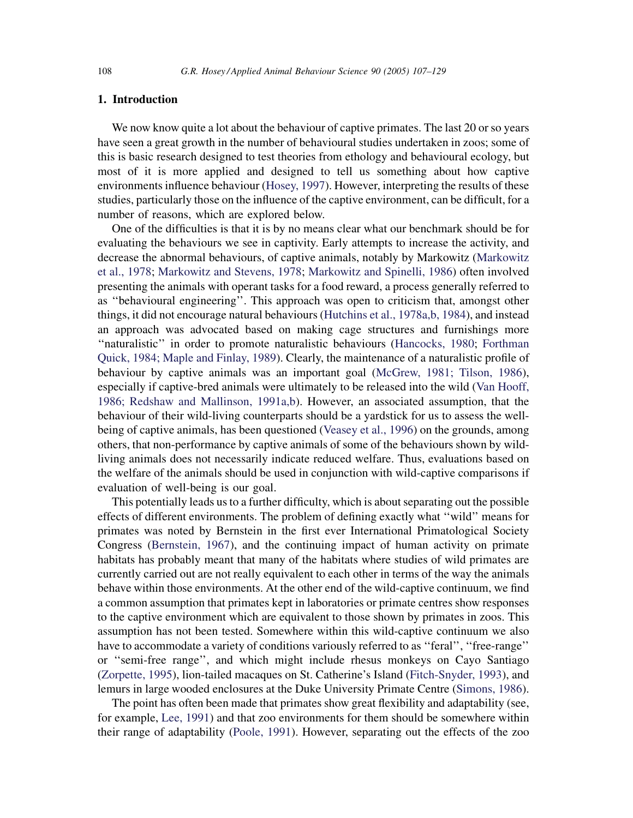#### 1. Introduction

We now know quite a lot about the behaviour of captive primates. The last 20 or so years have seen a great growth in the number of behavioural studies undertaken in zoos; some of this is basic research designed to test theories from ethology and behavioural ecology, but most of it is more applied and designed to tell us something about how captive environments influence behaviour (Hosey, 1997). However, interpreting the results of these studies, particularly those on the influence of the captive environment, can be difficult, for a number of reasons, which are explored below.

One of the difficulties is that it is by no means clear what our benchmark should be for evaluating the behaviours we see in captivity. Early attempts to increase the activity, and decrease the abnormal behaviours, of captive animals, notably by Markowitz (Markowitz et al., 1978; Markowitz and Stevens, 1978; Markowitz and Spinelli, 1986) often involved presenting the animals with operant tasks for a food reward, a process generally referred to as ''behavioural engineering''. This approach was open to criticism that, amongst other things, it did not encourage natural behaviours (Hutchins et al., 1978a,b, 1984), and instead an approach was advocated based on making cage structures and furnishings more ''naturalistic'' in order to promote naturalistic behaviours (Hancocks, 1980; Forthman Quick, 1984; Maple and Finlay, 1989). Clearly, the maintenance of a naturalistic profile of behaviour by captive animals was an important goal (McGrew, 1981; Tilson, 1986), especially if captive-bred animals were ultimately to be released into the wild (Van Hooff, 1986; Redshaw and Mallinson, 1991a,b). However, an associated assumption, that the behaviour of their wild-living counterparts should be a yardstick for us to assess the wellbeing of captive animals, has been questioned (Veasey et al., 1996) on the grounds, among others, that non-performance by captive animals of some of the behaviours shown by wildliving animals does not necessarily indicate reduced welfare. Thus, evaluations based on the welfare of the animals should be used in conjunction with wild-captive comparisons if evaluation of well-being is our goal.

This potentially leads us to a further difficulty, which is about separating out the possible effects of different environments. The problem of defining exactly what ''wild'' means for primates was noted by Bernstein in the first ever International Primatological Society Congress (Bernstein, 1967), and the continuing impact of human activity on primate habitats has probably meant that many of the habitats where studies of wild primates are currently carried out are not really equivalent to each other in terms of the way the animals behave within those environments. At the other end of the wild-captive continuum, we find a common assumption that primates kept in laboratories or primate centres show responses to the captive environment which are equivalent to those shown by primates in zoos. This assumption has not been tested. Somewhere within this wild-captive continuum we also have to accommodate a variety of conditions variously referred to as "feral", "free-range" or ''semi-free range'', and which might include rhesus monkeys on Cayo Santiago (Zorpette, 1995), lion-tailed macaques on St. Catherine's Island (Fitch-Snyder, 1993), and lemurs in large wooded enclosures at the Duke University Primate Centre (Simons, 1986).

The point has often been made that primates show great flexibility and adaptability (see, for example, Lee, 1991) and that zoo environments for them should be somewhere within their range of adaptability (Poole, 1991). However, separating out the effects of the zoo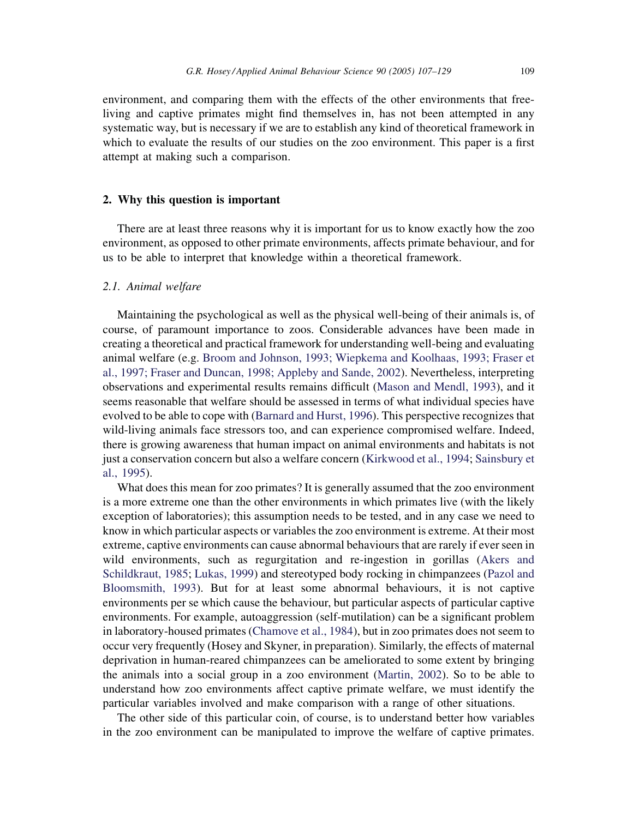environment, and comparing them with the effects of the other environments that freeliving and captive primates might find themselves in, has not been attempted in any systematic way, but is necessary if we are to establish any kind of theoretical framework in which to evaluate the results of our studies on the zoo environment. This paper is a first attempt at making such a comparison.

## 2. Why this question is important

There are at least three reasons why it is important for us to know exactly how the zoo environment, as opposed to other primate environments, affects primate behaviour, and for us to be able to interpret that knowledge within a theoretical framework.

## 2.1. Animal welfare

Maintaining the psychological as well as the physical well-being of their animals is, of course, of paramount importance to zoos. Considerable advances have been made in creating a theoretical and practical framework for understanding well-being and evaluating animal welfare (e.g. Broom and Johnson, 1993; Wiepkema and Koolhaas, 1993; Fraser et al., 1997; Fraser and Duncan, 1998; Appleby and Sande, 2002). Nevertheless, interpreting observations and experimental results remains difficult (Mason and Mendl, 1993), and it seems reasonable that welfare should be assessed in terms of what individual species have evolved to be able to cope with (Barnard and Hurst, 1996). This perspective recognizes that wild-living animals face stressors too, and can experience compromised welfare. Indeed, there is growing awareness that human impact on animal environments and habitats is not just a conservation concern but also a welfare concern (Kirkwood et al., 1994; Sainsbury et al., 1995).

What does this mean for zoo primates? It is generally assumed that the zoo environment is a more extreme one than the other environments in which primates live (with the likely exception of laboratories); this assumption needs to be tested, and in any case we need to know in which particular aspects or variables the zoo environment is extreme. At their most extreme, captive environments can cause abnormal behaviours that are rarely if ever seen in wild environments, such as regurgitation and re-ingestion in gorillas (Akers and Schildkraut, 1985; Lukas, 1999) and stereotyped body rocking in chimpanzees (Pazol and Bloomsmith, 1993). But for at least some abnormal behaviours, it is not captive environments per se which cause the behaviour, but particular aspects of particular captive environments. For example, autoaggression (self-mutilation) can be a significant problem in laboratory-housed primates (Chamove et al., 1984), but in zoo primates does not seem to occur very frequently (Hosey and Skyner, in preparation). Similarly, the effects of maternal deprivation in human-reared chimpanzees can be ameliorated to some extent by bringing the animals into a social group in a zoo environment (Martin, 2002). So to be able to understand how zoo environments affect captive primate welfare, we must identify the particular variables involved and make comparison with a range of other situations.

The other side of this particular coin, of course, is to understand better how variables in the zoo environment can be manipulated to improve the welfare of captive primates.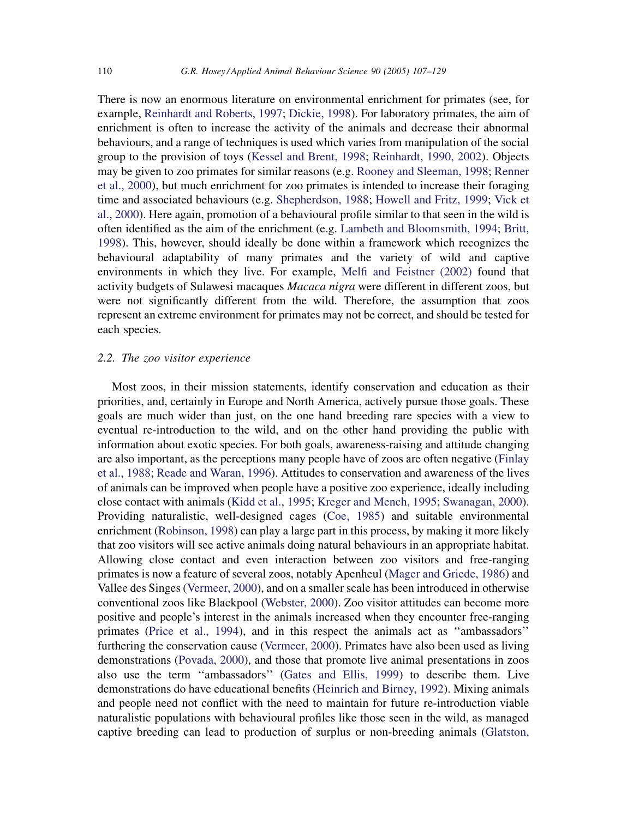There is now an enormous literature on environmental enrichment for primates (see, for example, Reinhardt and Roberts, 1997; Dickie, 1998). For laboratory primates, the aim of enrichment is often to increase the activity of the animals and decrease their abnormal behaviours, and a range of techniques is used which varies from manipulation of the social group to the provision of toys (Kessel and Brent, 1998; Reinhardt, 1990, 2002). Objects may be given to zoo primates for similar reasons (e.g. Rooney and Sleeman, 1998; Renner et al., 2000), but much enrichment for zoo primates is intended to increase their foraging time and associated behaviours (e.g. Shepherdson, 1988; Howell and Fritz, 1999; Vick et al., 2000). Here again, promotion of a behavioural profile similar to that seen in the wild is often identified as the aim of the enrichment (e.g. Lambeth and Bloomsmith, 1994; Britt, 1998). This, however, should ideally be done within a framework which recognizes the behavioural adaptability of many primates and the variety of wild and captive environments in which they live. For example, Melfi and Feistner (2002) found that activity budgets of Sulawesi macaques Macaca nigra were different in different zoos, but were not significantly different from the wild. Therefore, the assumption that zoos represent an extreme environment for primates may not be correct, and should be tested for each species.

# 2.2. The zoo visitor experience

Most zoos, in their mission statements, identify conservation and education as their priorities, and, certainly in Europe and North America, actively pursue those goals. These goals are much wider than just, on the one hand breeding rare species with a view to eventual re-introduction to the wild, and on the other hand providing the public with information about exotic species. For both goals, awareness-raising and attitude changing are also important, as the perceptions many people have of zoos are often negative (Finlay et al., 1988; Reade and Waran, 1996). Attitudes to conservation and awareness of the lives of animals can be improved when people have a positive zoo experience, ideally including close contact with animals (Kidd et al., 1995; Kreger and Mench, 1995; Swanagan, 2000). Providing naturalistic, well-designed cages (Coe, 1985) and suitable environmental enrichment (Robinson, 1998) can play a large part in this process, by making it more likely that zoo visitors will see active animals doing natural behaviours in an appropriate habitat. Allowing close contact and even interaction between zoo visitors and free-ranging primates is now a feature of several zoos, notably Apenheul (Mager and Griede, 1986) and Vallee des Singes (Vermeer, 2000), and on a smaller scale has been introduced in otherwise conventional zoos like Blackpool (Webster, 2000). Zoo visitor attitudes can become more positive and people's interest in the animals increased when they encounter free-ranging primates (Price et al., 1994), and in this respect the animals act as ''ambassadors'' furthering the conservation cause (Vermeer, 2000). Primates have also been used as living demonstrations (Povada, 2000), and those that promote live animal presentations in zoos also use the term ''ambassadors'' (Gates and Ellis, 1999) to describe them. Live demonstrations do have educational benefits (Heinrich and Birney, 1992). Mixing animals and people need not conflict with the need to maintain for future re-introduction viable naturalistic populations with behavioural profiles like those seen in the wild, as managed captive breeding can lead to production of surplus or non-breeding animals (Glatston,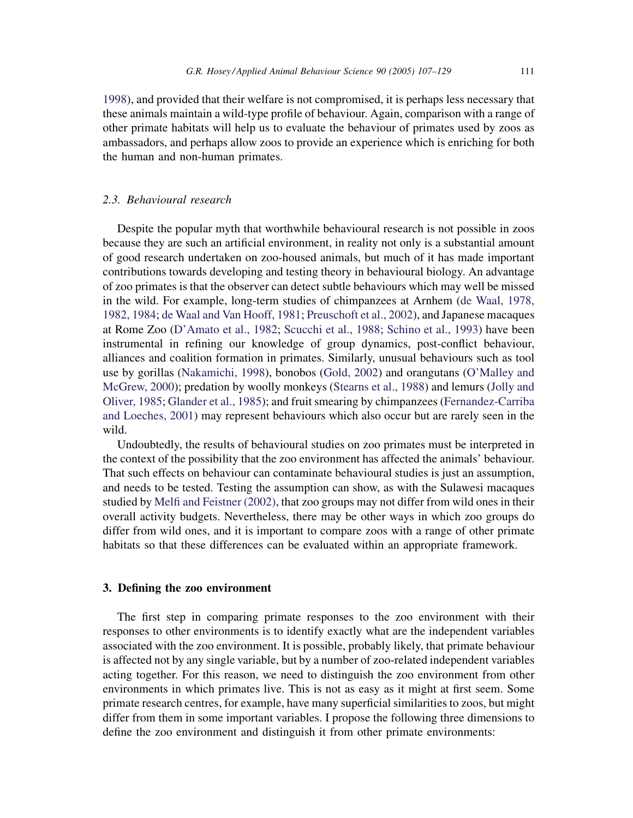1998), and provided that their welfare is not compromised, it is perhaps less necessary that these animals maintain a wild-type profile of behaviour. Again, comparison with a range of other primate habitats will help us to evaluate the behaviour of primates used by zoos as ambassadors, and perhaps allow zoos to provide an experience which is enriching for both the human and non-human primates.

## 2.3. Behavioural research

Despite the popular myth that worthwhile behavioural research is not possible in zoos because they are such an artificial environment, in reality not only is a substantial amount of good research undertaken on zoo-housed animals, but much of it has made important contributions towards developing and testing theory in behavioural biology. An advantage of zoo primates is that the observer can detect subtle behaviours which may well be missed in the wild. For example, long-term studies of chimpanzees at Arnhem (de Waal, 1978, 1982, 1984; de Waal and Van Hooff, 1981; Preuschoft et al., 2002), and Japanese macaques at Rome Zoo (D'Amato et al., 1982; Scucchi et al., 1988; Schino et al., 1993) have been instrumental in refining our knowledge of group dynamics, post-conflict behaviour, alliances and coalition formation in primates. Similarly, unusual behaviours such as tool use by gorillas (Nakamichi, 1998), bonobos (Gold, 2002) and orangutans (O'Malley and McGrew, 2000); predation by woolly monkeys (Stearns et al., 1988) and lemurs (Jolly and Oliver, 1985; Glander et al., 1985); and fruit smearing by chimpanzees (Fernandez-Carriba and Loeches, 2001) may represent behaviours which also occur but are rarely seen in the wild.

Undoubtedly, the results of behavioural studies on zoo primates must be interpreted in the context of the possibility that the zoo environment has affected the animals' behaviour. That such effects on behaviour can contaminate behavioural studies is just an assumption, and needs to be tested. Testing the assumption can show, as with the Sulawesi macaques studied by Melfi and Feistner (2002), that zoo groups may not differ from wild ones in their overall activity budgets. Nevertheless, there may be other ways in which zoo groups do differ from wild ones, and it is important to compare zoos with a range of other primate habitats so that these differences can be evaluated within an appropriate framework.

#### 3. Defining the zoo environment

The first step in comparing primate responses to the zoo environment with their responses to other environments is to identify exactly what are the independent variables associated with the zoo environment. It is possible, probably likely, that primate behaviour is affected not by any single variable, but by a number of zoo-related independent variables acting together. For this reason, we need to distinguish the zoo environment from other environments in which primates live. This is not as easy as it might at first seem. Some primate research centres, for example, have many superficial similarities to zoos, but might differ from them in some important variables. I propose the following three dimensions to define the zoo environment and distinguish it from other primate environments: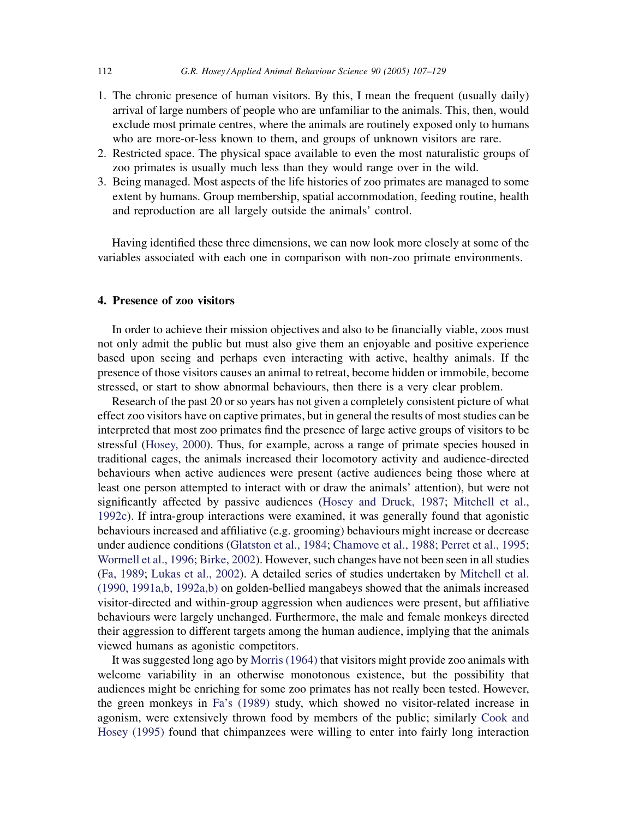- 1. The chronic presence of human visitors. By this, I mean the frequent (usually daily) arrival of large numbers of people who are unfamiliar to the animals. This, then, would exclude most primate centres, where the animals are routinely exposed only to humans who are more-or-less known to them, and groups of unknown visitors are rare.
- 2. Restricted space. The physical space available to even the most naturalistic groups of zoo primates is usually much less than they would range over in the wild.
- 3. Being managed. Most aspects of the life histories of zoo primates are managed to some extent by humans. Group membership, spatial accommodation, feeding routine, health and reproduction are all largely outside the animals' control.

Having identified these three dimensions, we can now look more closely at some of the variables associated with each one in comparison with non-zoo primate environments.

# 4. Presence of zoo visitors

In order to achieve their mission objectives and also to be financially viable, zoos must not only admit the public but must also give them an enjoyable and positive experience based upon seeing and perhaps even interacting with active, healthy animals. If the presence of those visitors causes an animal to retreat, become hidden or immobile, become stressed, or start to show abnormal behaviours, then there is a very clear problem.

Research of the past 20 or so years has not given a completely consistent picture of what effect zoo visitors have on captive primates, but in general the results of most studies can be interpreted that most zoo primates find the presence of large active groups of visitors to be stressful (Hosey, 2000). Thus, for example, across a range of primate species housed in traditional cages, the animals increased their locomotory activity and audience-directed behaviours when active audiences were present (active audiences being those where at least one person attempted to interact with or draw the animals' attention), but were not significantly affected by passive audiences (Hosey and Druck, 1987; Mitchell et al., 1992c). If intra-group interactions were examined, it was generally found that agonistic behaviours increased and affiliative (e.g. grooming) behaviours might increase or decrease under audience conditions (Glatston et al., 1984; Chamove et al., 1988; Perret et al., 1995; Wormell et al., 1996; Birke, 2002). However, such changes have not been seen in all studies (Fa, 1989; Lukas et al., 2002). A detailed series of studies undertaken by Mitchell et al. (1990, 1991a,b, 1992a,b) on golden-bellied mangabeys showed that the animals increased visitor-directed and within-group aggression when audiences were present, but affiliative behaviours were largely unchanged. Furthermore, the male and female monkeys directed their aggression to different targets among the human audience, implying that the animals viewed humans as agonistic competitors.

It was suggested long ago by Morris (1964) that visitors might provide zoo animals with welcome variability in an otherwise monotonous existence, but the possibility that audiences might be enriching for some zoo primates has not really been tested. However, the green monkeys in Fa's (1989) study, which showed no visitor-related increase in agonism, were extensively thrown food by members of the public; similarly Cook and Hosey (1995) found that chimpanzees were willing to enter into fairly long interaction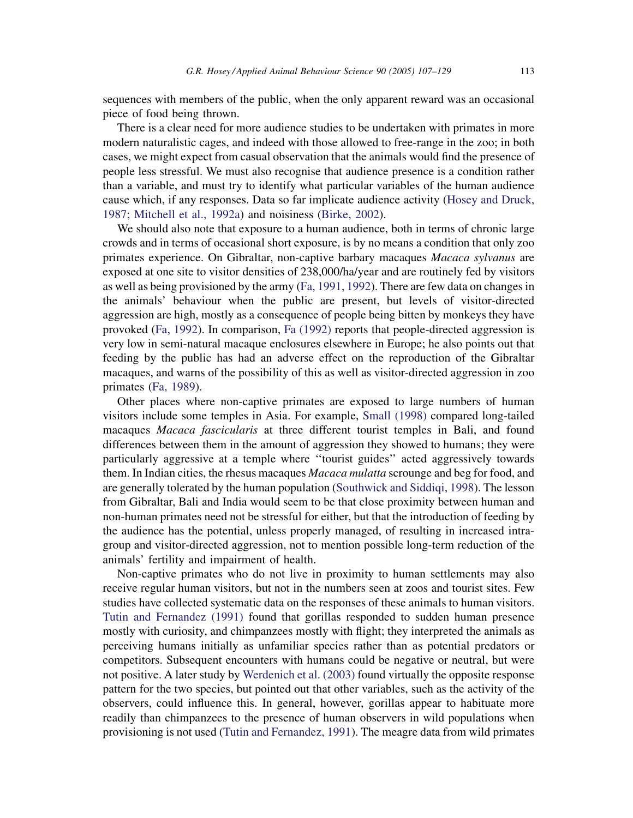sequences with members of the public, when the only apparent reward was an occasional piece of food being thrown.

There is a clear need for more audience studies to be undertaken with primates in more modern naturalistic cages, and indeed with those allowed to free-range in the zoo; in both cases, we might expect from casual observation that the animals would find the presence of people less stressful. We must also recognise that audience presence is a condition rather than a variable, and must try to identify what particular variables of the human audience cause which, if any responses. Data so far implicate audience activity (Hosey and Druck, 1987; Mitchell et al., 1992a) and noisiness (Birke, 2002).

We should also note that exposure to a human audience, both in terms of chronic large crowds and in terms of occasional short exposure, is by no means a condition that only zoo primates experience. On Gibraltar, non-captive barbary macaques Macaca sylvanus are exposed at one site to visitor densities of 238,000/ha/year and are routinely fed by visitors as well as being provisioned by the army (Fa, 1991, 1992). There are few data on changes in the animals' behaviour when the public are present, but levels of visitor-directed aggression are high, mostly as a consequence of people being bitten by monkeys they have provoked (Fa, 1992). In comparison, Fa (1992) reports that people-directed aggression is very low in semi-natural macaque enclosures elsewhere in Europe; he also points out that feeding by the public has had an adverse effect on the reproduction of the Gibraltar macaques, and warns of the possibility of this as well as visitor-directed aggression in zoo primates (Fa, 1989).

Other places where non-captive primates are exposed to large numbers of human visitors include some temples in Asia. For example, Small (1998) compared long-tailed macaques Macaca fascicularis at three different tourist temples in Bali, and found differences between them in the amount of aggression they showed to humans; they were particularly aggressive at a temple where ''tourist guides'' acted aggressively towards them. In Indian cities, the rhesus macaques Macaca mulatta scrounge and beg for food, and are generally tolerated by the human population (Southwick and Siddiqi, 1998). The lesson from Gibraltar, Bali and India would seem to be that close proximity between human and non-human primates need not be stressful for either, but that the introduction of feeding by the audience has the potential, unless properly managed, of resulting in increased intragroup and visitor-directed aggression, not to mention possible long-term reduction of the animals' fertility and impairment of health.

Non-captive primates who do not live in proximity to human settlements may also receive regular human visitors, but not in the numbers seen at zoos and tourist sites. Few studies have collected systematic data on the responses of these animals to human visitors. Tutin and Fernandez (1991) found that gorillas responded to sudden human presence mostly with curiosity, and chimpanzees mostly with flight; they interpreted the animals as perceiving humans initially as unfamiliar species rather than as potential predators or competitors. Subsequent encounters with humans could be negative or neutral, but were not positive. A later study by Werdenich et al. (2003) found virtually the opposite response pattern for the two species, but pointed out that other variables, such as the activity of the observers, could influence this. In general, however, gorillas appear to habituate more readily than chimpanzees to the presence of human observers in wild populations when provisioning is not used (Tutin and Fernandez, 1991). The meagre data from wild primates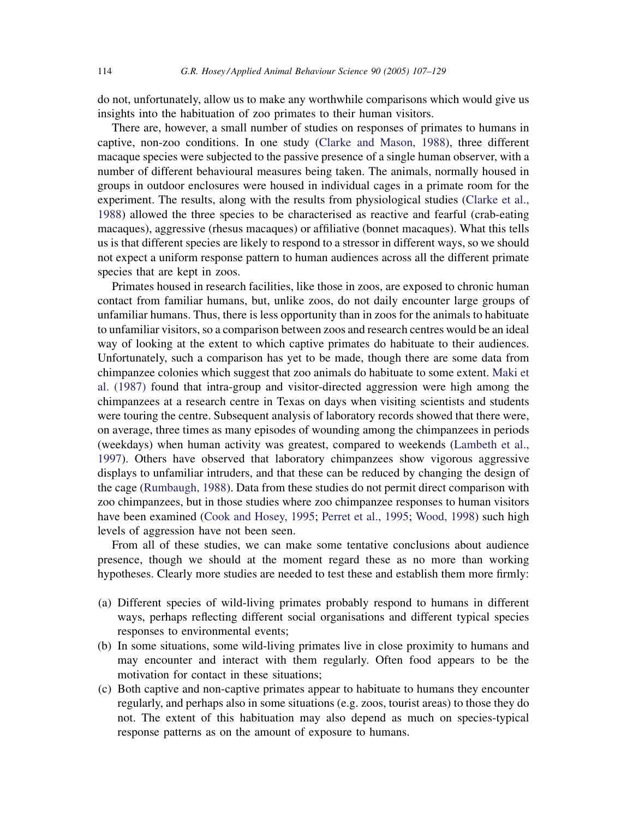do not, unfortunately, allow us to make any worthwhile comparisons which would give us insights into the habituation of zoo primates to their human visitors.

There are, however, a small number of studies on responses of primates to humans in captive, non-zoo conditions. In one study (Clarke and Mason, 1988), three different macaque species were subjected to the passive presence of a single human observer, with a number of different behavioural measures being taken. The animals, normally housed in groups in outdoor enclosures were housed in individual cages in a primate room for the experiment. The results, along with the results from physiological studies (Clarke et al., 1988) allowed the three species to be characterised as reactive and fearful (crab-eating macaques), aggressive (rhesus macaques) or affiliative (bonnet macaques). What this tells us is that different species are likely to respond to a stressor in different ways, so we should not expect a uniform response pattern to human audiences across all the different primate species that are kept in zoos.

Primates housed in research facilities, like those in zoos, are exposed to chronic human contact from familiar humans, but, unlike zoos, do not daily encounter large groups of unfamiliar humans. Thus, there is less opportunity than in zoos for the animals to habituate to unfamiliar visitors, so a comparison between zoos and research centres would be an ideal way of looking at the extent to which captive primates do habituate to their audiences. Unfortunately, such a comparison has yet to be made, though there are some data from chimpanzee colonies which suggest that zoo animals do habituate to some extent. Maki et al. (1987) found that intra-group and visitor-directed aggression were high among the chimpanzees at a research centre in Texas on days when visiting scientists and students were touring the centre. Subsequent analysis of laboratory records showed that there were, on average, three times as many episodes of wounding among the chimpanzees in periods (weekdays) when human activity was greatest, compared to weekends (Lambeth et al., 1997). Others have observed that laboratory chimpanzees show vigorous aggressive displays to unfamiliar intruders, and that these can be reduced by changing the design of the cage (Rumbaugh, 1988). Data from these studies do not permit direct comparison with zoo chimpanzees, but in those studies where zoo chimpanzee responses to human visitors have been examined (Cook and Hosey, 1995; Perret et al., 1995; Wood, 1998) such high levels of aggression have not been seen.

From all of these studies, we can make some tentative conclusions about audience presence, though we should at the moment regard these as no more than working hypotheses. Clearly more studies are needed to test these and establish them more firmly:

- (a) Different species of wild-living primates probably respond to humans in different ways, perhaps reflecting different social organisations and different typical species responses to environmental events;
- (b) In some situations, some wild-living primates live in close proximity to humans and may encounter and interact with them regularly. Often food appears to be the motivation for contact in these situations;
- (c) Both captive and non-captive primates appear to habituate to humans they encounter regularly, and perhaps also in some situations (e.g. zoos, tourist areas) to those they do not. The extent of this habituation may also depend as much on species-typical response patterns as on the amount of exposure to humans.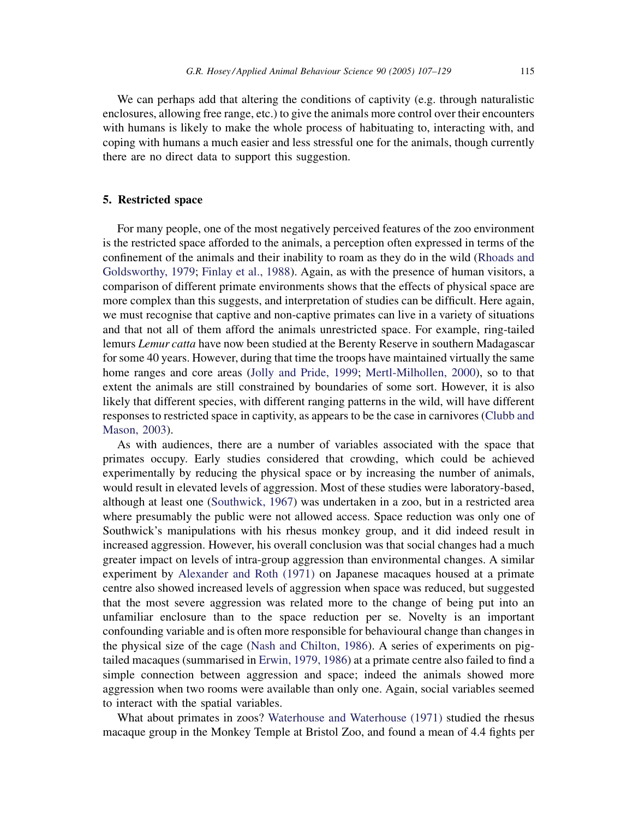We can perhaps add that altering the conditions of captivity (e.g. through naturalistic enclosures, allowing free range, etc.) to give the animals more control over their encounters with humans is likely to make the whole process of habituating to, interacting with, and coping with humans a much easier and less stressful one for the animals, though currently there are no direct data to support this suggestion.

## 5. Restricted space

For many people, one of the most negatively perceived features of the zoo environment is the restricted space afforded to the animals, a perception often expressed in terms of the confinement of the animals and their inability to roam as they do in the wild (Rhoads and Goldsworthy, 1979; Finlay et al., 1988). Again, as with the presence of human visitors, a comparison of different primate environments shows that the effects of physical space are more complex than this suggests, and interpretation of studies can be difficult. Here again, we must recognise that captive and non-captive primates can live in a variety of situations and that not all of them afford the animals unrestricted space. For example, ring-tailed lemurs *Lemur catta* have now been studied at the Berenty Reserve in southern Madagascar for some 40 years. However, during that time the troops have maintained virtually the same home ranges and core areas (Jolly and Pride, 1999; Mertl-Milhollen, 2000), so to that extent the animals are still constrained by boundaries of some sort. However, it is also likely that different species, with different ranging patterns in the wild, will have different responses to restricted space in captivity, as appears to be the case in carnivores (Clubb and Mason, 2003).

As with audiences, there are a number of variables associated with the space that primates occupy. Early studies considered that crowding, which could be achieved experimentally by reducing the physical space or by increasing the number of animals, would result in elevated levels of aggression. Most of these studies were laboratory-based, although at least one (Southwick, 1967) was undertaken in a zoo, but in a restricted area where presumably the public were not allowed access. Space reduction was only one of Southwick's manipulations with his rhesus monkey group, and it did indeed result in increased aggression. However, his overall conclusion was that social changes had a much greater impact on levels of intra-group aggression than environmental changes. A similar experiment by Alexander and Roth (1971) on Japanese macaques housed at a primate centre also showed increased levels of aggression when space was reduced, but suggested that the most severe aggression was related more to the change of being put into an unfamiliar enclosure than to the space reduction per se. Novelty is an important confounding variable and is often more responsible for behavioural change than changes in the physical size of the cage (Nash and Chilton, 1986). A series of experiments on pigtailed macaques (summarised in Erwin, 1979, 1986) at a primate centre also failed to find a simple connection between aggression and space; indeed the animals showed more aggression when two rooms were available than only one. Again, social variables seemed to interact with the spatial variables.

What about primates in zoos? Waterhouse and Waterhouse (1971) studied the rhesus macaque group in the Monkey Temple at Bristol Zoo, and found a mean of 4.4 fights per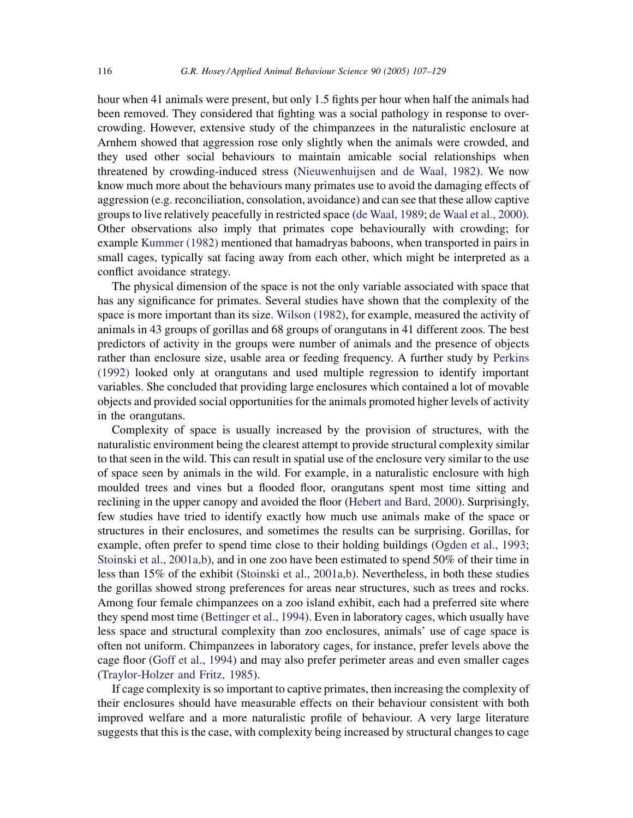hour when 41 animals were present, but only 1.5 fights per hour when half the animals had been removed. They considered that fighting was a social pathology in response to overcrowding. However, extensive study of the chimpanzees in the naturalistic enclosure at Arnhem showed that aggression rose only slightly when the animals were crowded, and they used other social behaviours to maintain amicable social relationships when threatened by crowding-induced stress (Nieuwenhuijsen and de Waal, 1982). We now know much more about the behaviours many primates use to avoid the damaging effects of aggression (e.g. reconciliation, consolation, avoidance) and can see that these allow captive groups to live relatively peacefully in restricted space (de Waal, 1989; de Waal et al., 2000). Other observations also imply that primates cope behaviourally with crowding; for example Kummer (1982) mentioned that hamadryas baboons, when transported in pairs in small cages, typically sat facing away from each other, which might be interpreted as a conflict avoidance strategy.

The physical dimension of the space is not the only variable associated with space that has any significance for primates. Several studies have shown that the complexity of the space is more important than its size. Wilson (1982), for example, measured the activity of animals in 43 groups of gorillas and 68 groups of orangutans in 41 different zoos. The best predictors of activity in the groups were number of animals and the presence of objects rather than enclosure size, usable area or feeding frequency. A further study by Perkins (1992) looked only at orangutans and used multiple regression to identify important variables. She concluded that providing large enclosures which contained a lot of movable objects and provided social opportunities for the animals promoted higher levels of activity in the orangutans.

Complexity of space is usually increased by the provision of structures, with the naturalistic environment being the clearest attempt to provide structural complexity similar to that seen in the wild. This can result in spatial use of the enclosure very similar to the use of space seen by animals in the wild. For example, in a naturalistic enclosure with high moulded trees and vines but a flooded floor, orangutans spent most time sitting and reclining in the upper canopy and avoided the floor (Hebert and Bard, 2000). Surprisingly, few studies have tried to identify exactly how much use animals make of the space or structures in their enclosures, and sometimes the results can be surprising. Gorillas, for example, often prefer to spend time close to their holding buildings (Ogden et al., 1993; Stoinski et al., 2001a,b), and in one zoo have been estimated to spend 50% of their time in less than 15% of the exhibit (Stoinski et al., 2001a,b). Nevertheless, in both these studies the gorillas showed strong preferences for areas near structures, such as trees and rocks. Among four female chimpanzees on a zoo island exhibit, each had a preferred site where they spend most time (Bettinger et al., 1994). Even in laboratory cages, which usually have less space and structural complexity than zoo enclosures, animals' use of cage space is often not uniform. Chimpanzees in laboratory cages, for instance, prefer levels above the cage floor (Goff et al., 1994) and may also prefer perimeter areas and even smaller cages (Traylor-Holzer and Fritz, 1985).

If cage complexity is so important to captive primates, then increasing the complexity of their enclosures should have measurable effects on their behaviour consistent with both improved welfare and a more naturalistic profile of behaviour. A very large literature suggests that this is the case, with complexity being increased by structural changes to cage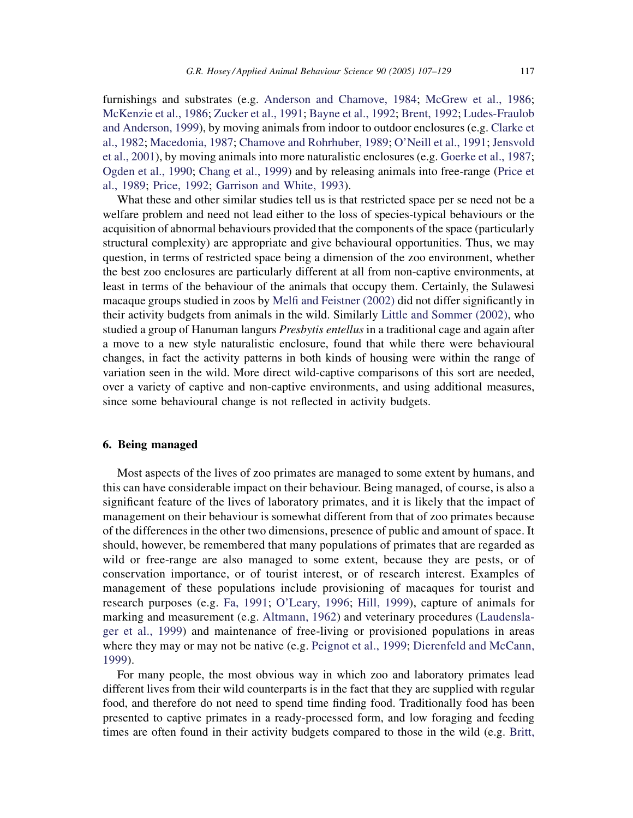furnishings and substrates (e.g. Anderson and Chamove, 1984; McGrew et al., 1986; McKenzie et al., 1986; Zucker et al., 1991; Bayne et al., 1992; Brent, 1992; Ludes-Fraulob and Anderson, 1999), by moving animals from indoor to outdoor enclosures (e.g. Clarke et al., 1982; Macedonia, 1987; Chamove and Rohrhuber, 1989; O'Neill et al., 1991; Jensvold et al., 2001), by moving animals into more naturalistic enclosures (e.g. Goerke et al., 1987; Ogden et al., 1990; Chang et al., 1999) and by releasing animals into free-range (Price et al., 1989; Price, 1992; Garrison and White, 1993).

What these and other similar studies tell us is that restricted space per se need not be a welfare problem and need not lead either to the loss of species-typical behaviours or the acquisition of abnormal behaviours provided that the components of the space (particularly structural complexity) are appropriate and give behavioural opportunities. Thus, we may question, in terms of restricted space being a dimension of the zoo environment, whether the best zoo enclosures are particularly different at all from non-captive environments, at least in terms of the behaviour of the animals that occupy them. Certainly, the Sulawesi macaque groups studied in zoos by Melfi and Feistner (2002) did not differ significantly in their activity budgets from animals in the wild. Similarly Little and Sommer (2002), who studied a group of Hanuman langurs Presbytis entellus in a traditional cage and again after a move to a new style naturalistic enclosure, found that while there were behavioural changes, in fact the activity patterns in both kinds of housing were within the range of variation seen in the wild. More direct wild-captive comparisons of this sort are needed, over a variety of captive and non-captive environments, and using additional measures, since some behavioural change is not reflected in activity budgets.

## 6. Being managed

Most aspects of the lives of zoo primates are managed to some extent by humans, and this can have considerable impact on their behaviour. Being managed, of course, is also a significant feature of the lives of laboratory primates, and it is likely that the impact of management on their behaviour is somewhat different from that of zoo primates because of the differences in the other two dimensions, presence of public and amount of space. It should, however, be remembered that many populations of primates that are regarded as wild or free-range are also managed to some extent, because they are pests, or of conservation importance, or of tourist interest, or of research interest. Examples of management of these populations include provisioning of macaques for tourist and research purposes (e.g. Fa, 1991; O'Leary, 1996; Hill, 1999), capture of animals for marking and measurement (e.g. Altmann, 1962) and veterinary procedures (Laudenslager et al., 1999) and maintenance of free-living or provisioned populations in areas where they may or may not be native (e.g. Peignot et al., 1999; Dierenfeld and McCann, 1999).

For many people, the most obvious way in which zoo and laboratory primates lead different lives from their wild counterparts is in the fact that they are supplied with regular food, and therefore do not need to spend time finding food. Traditionally food has been presented to captive primates in a ready-processed form, and low foraging and feeding times are often found in their activity budgets compared to those in the wild (e.g. Britt,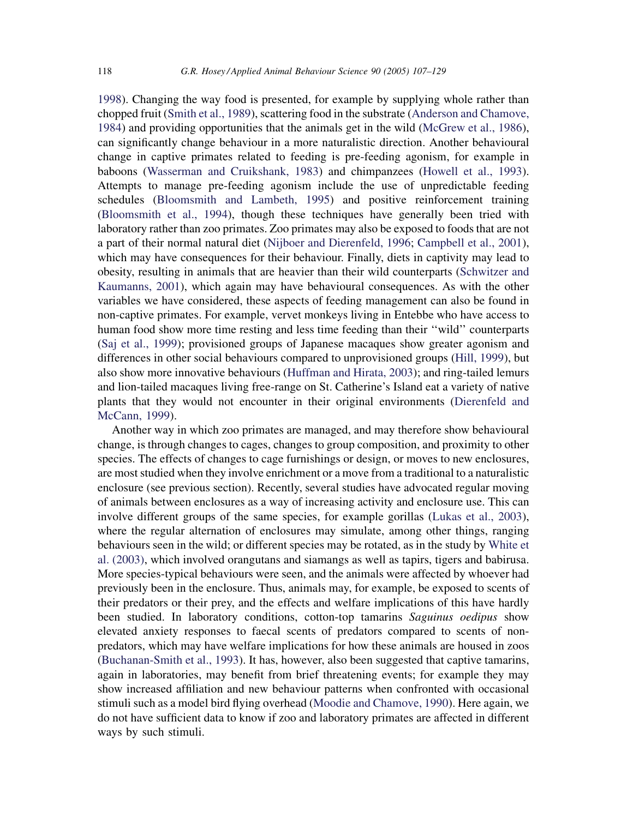1998). Changing the way food is presented, for example by supplying whole rather than chopped fruit (Smith et al., 1989), scattering food in the substrate (Anderson and Chamove, 1984) and providing opportunities that the animals get in the wild (McGrew et al., 1986), can significantly change behaviour in a more naturalistic direction. Another behavioural change in captive primates related to feeding is pre-feeding agonism, for example in baboons (Wasserman and Cruikshank, 1983) and chimpanzees (Howell et al., 1993). Attempts to manage pre-feeding agonism include the use of unpredictable feeding schedules (Bloomsmith and Lambeth, 1995) and positive reinforcement training (Bloomsmith et al., 1994), though these techniques have generally been tried with laboratory rather than zoo primates. Zoo primates may also be exposed to foods that are not a part of their normal natural diet (Nijboer and Dierenfeld, 1996; Campbell et al., 2001), which may have consequences for their behaviour. Finally, diets in captivity may lead to obesity, resulting in animals that are heavier than their wild counterparts (Schwitzer and Kaumanns, 2001), which again may have behavioural consequences. As with the other variables we have considered, these aspects of feeding management can also be found in non-captive primates. For example, vervet monkeys living in Entebbe who have access to human food show more time resting and less time feeding than their ''wild'' counterparts (Saj et al., 1999); provisioned groups of Japanese macaques show greater agonism and differences in other social behaviours compared to unprovisioned groups (Hill, 1999), but also show more innovative behaviours (Huffman and Hirata, 2003); and ring-tailed lemurs and lion-tailed macaques living free-range on St. Catherine's Island eat a variety of native plants that they would not encounter in their original environments (Dierenfeld and McCann, 1999).

Another way in which zoo primates are managed, and may therefore show behavioural change, is through changes to cages, changes to group composition, and proximity to other species. The effects of changes to cage furnishings or design, or moves to new enclosures, are most studied when they involve enrichment or a move from a traditional to a naturalistic enclosure (see previous section). Recently, several studies have advocated regular moving of animals between enclosures as a way of increasing activity and enclosure use. This can involve different groups of the same species, for example gorillas (Lukas et al., 2003), where the regular alternation of enclosures may simulate, among other things, ranging behaviours seen in the wild; or different species may be rotated, as in the study by White et al. (2003), which involved orangutans and siamangs as well as tapirs, tigers and babirusa. More species-typical behaviours were seen, and the animals were affected by whoever had previously been in the enclosure. Thus, animals may, for example, be exposed to scents of their predators or their prey, and the effects and welfare implications of this have hardly been studied. In laboratory conditions, cotton-top tamarins Saguinus oedipus show elevated anxiety responses to faecal scents of predators compared to scents of nonpredators, which may have welfare implications for how these animals are housed in zoos (Buchanan-Smith et al., 1993). It has, however, also been suggested that captive tamarins, again in laboratories, may benefit from brief threatening events; for example they may show increased affiliation and new behaviour patterns when confronted with occasional stimuli such as a model bird flying overhead (Moodie and Chamove, 1990). Here again, we do not have sufficient data to know if zoo and laboratory primates are affected in different ways by such stimuli.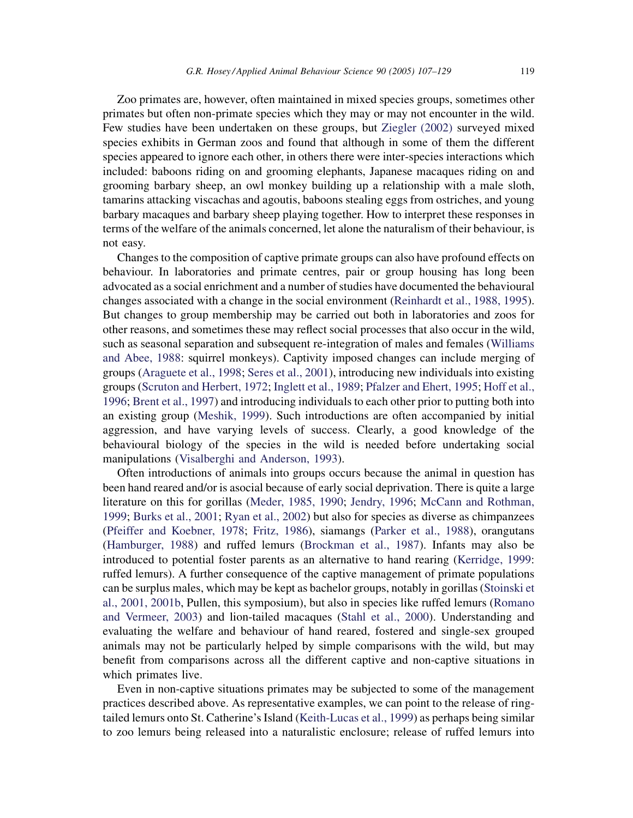Zoo primates are, however, often maintained in mixed species groups, sometimes other primates but often non-primate species which they may or may not encounter in the wild. Few studies have been undertaken on these groups, but Ziegler (2002) surveyed mixed species exhibits in German zoos and found that although in some of them the different species appeared to ignore each other, in others there were inter-species interactions which included: baboons riding on and grooming elephants, Japanese macaques riding on and grooming barbary sheep, an owl monkey building up a relationship with a male sloth, tamarins attacking viscachas and agoutis, baboons stealing eggs from ostriches, and young barbary macaques and barbary sheep playing together. How to interpret these responses in terms of the welfare of the animals concerned, let alone the naturalism of their behaviour, is not easy.

Changes to the composition of captive primate groups can also have profound effects on behaviour. In laboratories and primate centres, pair or group housing has long been advocated as a social enrichment and a number of studies have documented the behavioural changes associated with a change in the social environment (Reinhardt et al., 1988, 1995). But changes to group membership may be carried out both in laboratories and zoos for other reasons, and sometimes these may reflect social processes that also occur in the wild, such as seasonal separation and subsequent re-integration of males and females (Williams and Abee, 1988: squirrel monkeys). Captivity imposed changes can include merging of groups (Araguete et al., 1998; Seres et al., 2001), introducing new individuals into existing groups (Scruton and Herbert, 1972; Inglett et al., 1989; Pfalzer and Ehert, 1995; Hoff et al., 1996; Brent et al., 1997) and introducing individuals to each other prior to putting both into an existing group (Meshik, 1999). Such introductions are often accompanied by initial aggression, and have varying levels of success. Clearly, a good knowledge of the behavioural biology of the species in the wild is needed before undertaking social manipulations (Visalberghi and Anderson, 1993).

Often introductions of animals into groups occurs because the animal in question has been hand reared and/or is asocial because of early social deprivation. There is quite a large literature on this for gorillas (Meder, 1985, 1990; Jendry, 1996; McCann and Rothman, 1999; Burks et al., 2001; Ryan et al., 2002) but also for species as diverse as chimpanzees (Pfeiffer and Koebner, 1978; Fritz, 1986), siamangs (Parker et al., 1988), orangutans (Hamburger, 1988) and ruffed lemurs (Brockman et al., 1987). Infants may also be introduced to potential foster parents as an alternative to hand rearing (Kerridge, 1999: ruffed lemurs). A further consequence of the captive management of primate populations can be surplus males, which may be kept as bachelor groups, notably in gorillas (Stoinski et al., 2001, 2001b, Pullen, this symposium), but also in species like ruffed lemurs (Romano and Vermeer, 2003) and lion-tailed macaques (Stahl et al., 2000). Understanding and evaluating the welfare and behaviour of hand reared, fostered and single-sex grouped animals may not be particularly helped by simple comparisons with the wild, but may benefit from comparisons across all the different captive and non-captive situations in which primates live.

Even in non-captive situations primates may be subjected to some of the management practices described above. As representative examples, we can point to the release of ringtailed lemurs onto St. Catherine's Island (Keith-Lucas et al., 1999) as perhaps being similar to zoo lemurs being released into a naturalistic enclosure; release of ruffed lemurs into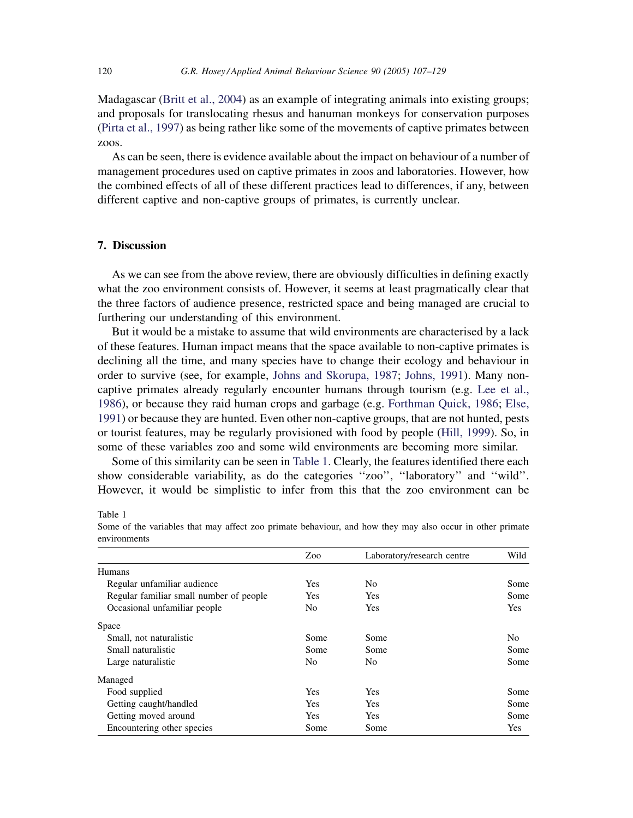Madagascar (Britt et al., 2004) as an example of integrating animals into existing groups; and proposals for translocating rhesus and hanuman monkeys for conservation purposes (Pirta et al., 1997) as being rather like some of the movements of captive primates between zoos.

As can be seen, there is evidence available about the impact on behaviour of a number of management procedures used on captive primates in zoos and laboratories. However, how the combined effects of all of these different practices lead to differences, if any, between different captive and non-captive groups of primates, is currently unclear.

# 7. Discussion

As we can see from the above review, there are obviously difficulties in defining exactly what the zoo environment consists of. However, it seems at least pragmatically clear that the three factors of audience presence, restricted space and being managed are crucial to furthering our understanding of this environment.

But it would be a mistake to assume that wild environments are characterised by a lack of these features. Human impact means that the space available to non-captive primates is declining all the time, and many species have to change their ecology and behaviour in order to survive (see, for example, Johns and Skorupa, 1987; Johns, 1991). Many noncaptive primates already regularly encounter humans through tourism (e.g. Lee et al., 1986), or because they raid human crops and garbage (e.g. Forthman Quick, 1986; Else, 1991) or because they are hunted. Even other non-captive groups, that are not hunted, pests or tourist features, may be regularly provisioned with food by people (Hill, 1999). So, in some of these variables zoo and some wild environments are becoming more similar.

Some of this similarity can be seen in Table 1. Clearly, the features identified there each show considerable variability, as do the categories ''zoo'', ''laboratory'' and ''wild''. However, it would be simplistic to infer from this that the zoo environment can be

Table 1

|                                         | Zoo            | Laboratory/research centre | Wild |
|-----------------------------------------|----------------|----------------------------|------|
| <b>Humans</b>                           |                |                            |      |
| Regular unfamiliar audience             | Yes            | N <sub>0</sub>             | Some |
| Regular familiar small number of people | Yes            | <b>Yes</b>                 | Some |
| Occasional unfamiliar people            | N <sub>0</sub> | Yes                        | Yes  |
| Space                                   |                |                            |      |
| Small, not naturalistic                 | Some           | Some                       | No   |
| Small naturalistic                      | Some           | Some                       | Some |
| Large naturalistic                      | N <sub>0</sub> | N <sub>0</sub>             | Some |
| Managed                                 |                |                            |      |
| Food supplied                           | Yes            | <b>Yes</b>                 | Some |
| Getting caught/handled                  | Yes            | <b>Yes</b>                 | Some |
| Getting moved around                    | Yes            | <b>Yes</b>                 | Some |
| Encountering other species              | Some           | Some                       | Yes  |

Some of the variables that may affect zoo primate behaviour, and how they may also occur in other primate environments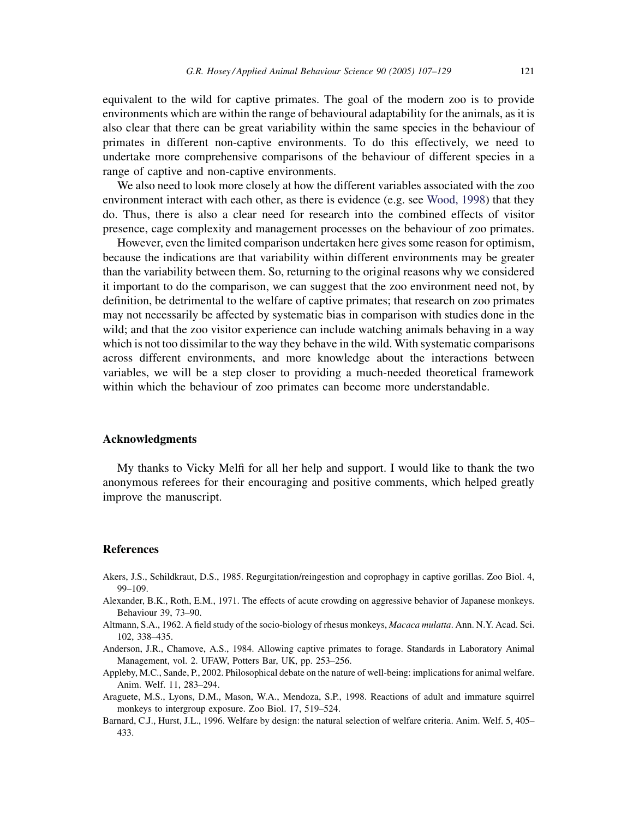equivalent to the wild for captive primates. The goal of the modern zoo is to provide environments which are within the range of behavioural adaptability for the animals, as it is also clear that there can be great variability within the same species in the behaviour of primates in different non-captive environments. To do this effectively, we need to undertake more comprehensive comparisons of the behaviour of different species in a range of captive and non-captive environments.

We also need to look more closely at how the different variables associated with the zoo environment interact with each other, as there is evidence (e.g. see Wood, 1998) that they do. Thus, there is also a clear need for research into the combined effects of visitor presence, cage complexity and management processes on the behaviour of zoo primates.

However, even the limited comparison undertaken here gives some reason for optimism, because the indications are that variability within different environments may be greater than the variability between them. So, returning to the original reasons why we considered it important to do the comparison, we can suggest that the zoo environment need not, by definition, be detrimental to the welfare of captive primates; that research on zoo primates may not necessarily be affected by systematic bias in comparison with studies done in the wild; and that the zoo visitor experience can include watching animals behaving in a way which is not too dissimilar to the way they behave in the wild. With systematic comparisons across different environments, and more knowledge about the interactions between variables, we will be a step closer to providing a much-needed theoretical framework within which the behaviour of zoo primates can become more understandable.

#### Acknowledgments

My thanks to Vicky Melfi for all her help and support. I would like to thank the two anonymous referees for their encouraging and positive comments, which helped greatly improve the manuscript.

#### References

- Akers, J.S., Schildkraut, D.S., 1985. Regurgitation/reingestion and coprophagy in captive gorillas. Zoo Biol. 4, 99–109.
- Alexander, B.K., Roth, E.M., 1971. The effects of acute crowding on aggressive behavior of Japanese monkeys. Behaviour 39, 73–90.
- Altmann, S.A., 1962. A field study of the socio-biology of rhesus monkeys, Macaca mulatta. Ann. N.Y. Acad. Sci. 102, 338–435.
- Anderson, J.R., Chamove, A.S., 1984. Allowing captive primates to forage. Standards in Laboratory Animal Management, vol. 2. UFAW, Potters Bar, UK, pp. 253–256.
- Appleby, M.C., Sande, P., 2002. Philosophical debate on the nature of well-being: implications for animal welfare. Anim. Welf. 11, 283–294.
- Araguete, M.S., Lyons, D.M., Mason, W.A., Mendoza, S.P., 1998. Reactions of adult and immature squirrel monkeys to intergroup exposure. Zoo Biol. 17, 519–524.
- Barnard, C.J., Hurst, J.L., 1996. Welfare by design: the natural selection of welfare criteria. Anim. Welf. 5, 405– 433.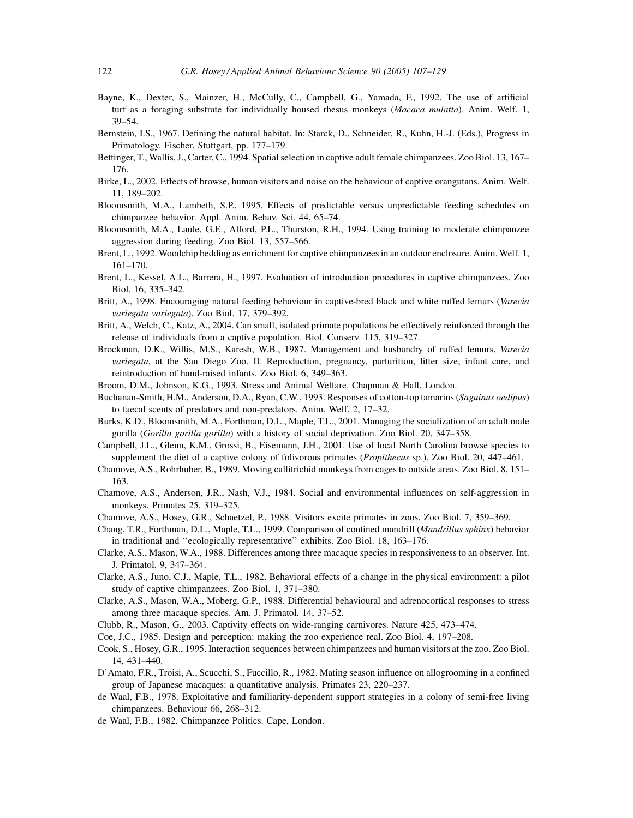- Bayne, K., Dexter, S., Mainzer, H., McCully, C., Campbell, G., Yamada, F., 1992. The use of artificial turf as a foraging substrate for individually housed rhesus monkeys (Macaca mulatta). Anim. Welf. 1, 39–54.
- Bernstein, I.S., 1967. Defining the natural habitat. In: Starck, D., Schneider, R., Kuhn, H.-J. (Eds.), Progress in Primatology. Fischer, Stuttgart, pp. 177–179.
- Bettinger, T., Wallis, J., Carter, C., 1994. Spatial selection in captive adult female chimpanzees. Zoo Biol. 13, 167– 176.
- Birke, L., 2002. Effects of browse, human visitors and noise on the behaviour of captive orangutans. Anim. Welf. 11, 189–202.
- Bloomsmith, M.A., Lambeth, S.P., 1995. Effects of predictable versus unpredictable feeding schedules on chimpanzee behavior. Appl. Anim. Behav. Sci. 44, 65–74.
- Bloomsmith, M.A., Laule, G.E., Alford, P.L., Thurston, R.H., 1994. Using training to moderate chimpanzee aggression during feeding. Zoo Biol. 13, 557–566.
- Brent, L., 1992. Woodchip bedding as enrichment for captive chimpanzees in an outdoor enclosure. Anim. Welf. 1, 161–170.
- Brent, L., Kessel, A.L., Barrera, H., 1997. Evaluation of introduction procedures in captive chimpanzees. Zoo Biol. 16, 335–342.
- Britt, A., 1998. Encouraging natural feeding behaviour in captive-bred black and white ruffed lemurs (Varecia variegata variegata). Zoo Biol. 17, 379–392.
- Britt, A., Welch, C., Katz, A., 2004. Can small, isolated primate populations be effectively reinforced through the release of individuals from a captive population. Biol. Conserv. 115, 319–327.
- Brockman, D.K., Willis, M.S., Karesh, W.B., 1987. Management and husbandry of ruffed lemurs, Varecia variegata, at the San Diego Zoo. II. Reproduction, pregnancy, parturition, litter size, infant care, and reintroduction of hand-raised infants. Zoo Biol. 6, 349–363.
- Broom, D.M., Johnson, K.G., 1993. Stress and Animal Welfare. Chapman & Hall, London.
- Buchanan-Smith, H.M., Anderson, D.A., Ryan, C.W., 1993. Responses of cotton-top tamarins (Saguinus oedipus) to faecal scents of predators and non-predators. Anim. Welf. 2, 17–32.
- Burks, K.D., Bloomsmith, M.A., Forthman, D.L., Maple, T.L., 2001. Managing the socialization of an adult male gorilla (Gorilla gorilla gorilla) with a history of social deprivation. Zoo Biol. 20, 347–358.
- Campbell, J.L., Glenn, K.M., Grossi, B., Eisemann, J.H., 2001. Use of local North Carolina browse species to supplement the diet of a captive colony of folivorous primates (*Propithecus* sp.). Zoo Biol. 20, 447–461.
- Chamove, A.S., Rohrhuber, B., 1989. Moving callitrichid monkeys from cages to outside areas. Zoo Biol. 8, 151– 163.
- Chamove, A.S., Anderson, J.R., Nash, V.J., 1984. Social and environmental influences on self-aggression in monkeys. Primates 25, 319–325.
- Chamove, A.S., Hosey, G.R., Schaetzel, P., 1988. Visitors excite primates in zoos. Zoo Biol. 7, 359–369.
- Chang, T.R., Forthman, D.L., Maple, T.L., 1999. Comparison of confined mandrill (Mandrillus sphinx) behavior in traditional and ''ecologically representative'' exhibits. Zoo Biol. 18, 163–176.
- Clarke, A.S., Mason, W.A., 1988. Differences among three macaque species in responsiveness to an observer. Int. J. Primatol. 9, 347–364.
- Clarke, A.S., Juno, C.J., Maple, T.L., 1982. Behavioral effects of a change in the physical environment: a pilot study of captive chimpanzees. Zoo Biol. 1, 371–380.
- Clarke, A.S., Mason, W.A., Moberg, G.P., 1988. Differential behavioural and adrenocortical responses to stress among three macaque species. Am. J. Primatol. 14, 37–52.
- Clubb, R., Mason, G., 2003. Captivity effects on wide-ranging carnivores. Nature 425, 473–474.
- Coe, J.C., 1985. Design and perception: making the zoo experience real. Zoo Biol. 4, 197–208.
- Cook, S., Hosey, G.R., 1995. Interaction sequences between chimpanzees and human visitors at the zoo. Zoo Biol. 14, 431–440.
- D'Amato, F.R., Troisi, A., Scucchi, S., Fuccillo, R., 1982. Mating season influence on allogrooming in a confined group of Japanese macaques: a quantitative analysis. Primates 23, 220–237.
- de Waal, F.B., 1978. Exploitative and familiarity-dependent support strategies in a colony of semi-free living chimpanzees. Behaviour 66, 268–312.
- de Waal, F.B., 1982. Chimpanzee Politics. Cape, London.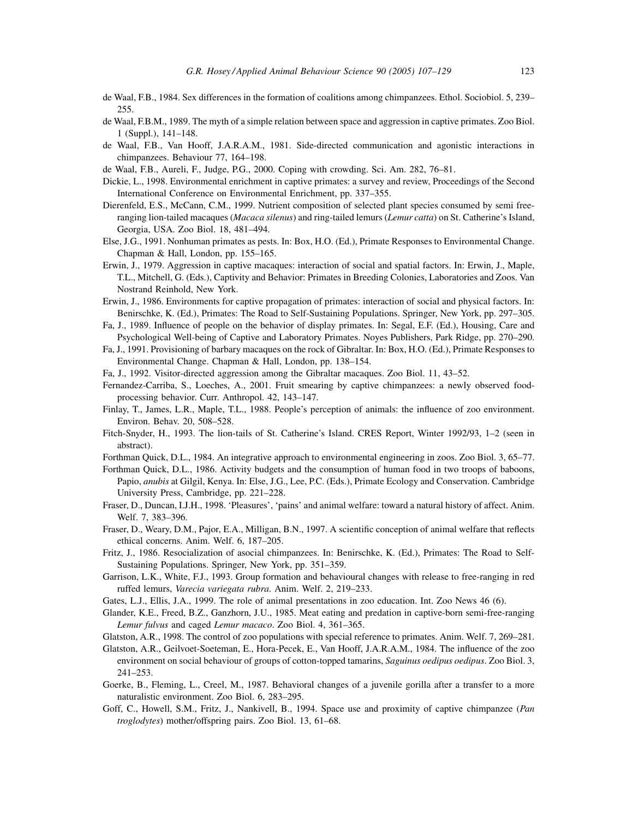- de Waal, F.B., 1984. Sex differences in the formation of coalitions among chimpanzees. Ethol. Sociobiol. 5, 239– 255.
- de Waal, F.B.M., 1989. The myth of a simple relation between space and aggression in captive primates. Zoo Biol. 1 (Suppl.), 141–148.
- de Waal, F.B., Van Hooff, J.A.R.A.M., 1981. Side-directed communication and agonistic interactions in chimpanzees. Behaviour 77, 164–198.
- de Waal, F.B., Aureli, F., Judge, P.G., 2000. Coping with crowding. Sci. Am. 282, 76–81.
- Dickie, L., 1998. Environmental enrichment in captive primates: a survey and review, Proceedings of the Second International Conference on Environmental Enrichment, pp. 337–355.
- Dierenfeld, E.S., McCann, C.M., 1999. Nutrient composition of selected plant species consumed by semi freeranging lion-tailed macaques (Macaca silenus) and ring-tailed lemurs (Lemur catta) on St. Catherine's Island, Georgia, USA. Zoo Biol. 18, 481–494.
- Else, J.G., 1991. Nonhuman primates as pests. In: Box, H.O. (Ed.), Primate Responses to Environmental Change. Chapman & Hall, London, pp. 155–165.
- Erwin, J., 1979. Aggression in captive macaques: interaction of social and spatial factors. In: Erwin, J., Maple, T.L., Mitchell, G. (Eds.), Captivity and Behavior: Primates in Breeding Colonies, Laboratories and Zoos. Van Nostrand Reinhold, New York.
- Erwin, J., 1986. Environments for captive propagation of primates: interaction of social and physical factors. In: Benirschke, K. (Ed.), Primates: The Road to Self-Sustaining Populations. Springer, New York, pp. 297–305.
- Fa, J., 1989. Influence of people on the behavior of display primates. In: Segal, E.F. (Ed.), Housing, Care and Psychological Well-being of Captive and Laboratory Primates. Noyes Publishers, Park Ridge, pp. 270–290.
- Fa, J., 1991. Provisioning of barbary macaques on the rock of Gibraltar. In: Box, H.O. (Ed.), Primate Responses to Environmental Change. Chapman & Hall, London, pp. 138–154.
- Fa, J., 1992. Visitor-directed aggression among the Gibraltar macaques. Zoo Biol. 11, 43–52.
- Fernandez-Carriba, S., Loeches, A., 2001. Fruit smearing by captive chimpanzees: a newly observed foodprocessing behavior. Curr. Anthropol. 42, 143–147.
- Finlay, T., James, L.R., Maple, T.L., 1988. People's perception of animals: the influence of zoo environment. Environ. Behav. 20, 508–528.
- Fitch-Snyder, H., 1993. The lion-tails of St. Catherine's Island. CRES Report, Winter 1992/93, 1–2 (seen in abstract).
- Forthman Quick, D.L., 1984. An integrative approach to environmental engineering in zoos. Zoo Biol. 3, 65–77.
- Forthman Quick, D.L., 1986. Activity budgets and the consumption of human food in two troops of baboons, Papio, anubis at Gilgil, Kenya. In: Else, J.G., Lee, P.C. (Eds.), Primate Ecology and Conservation. Cambridge University Press, Cambridge, pp. 221–228.
- Fraser, D., Duncan, I.J.H., 1998. 'Pleasures', 'pains' and animal welfare: toward a natural history of affect. Anim. Welf. 7, 383–396.
- Fraser, D., Weary, D.M., Pajor, E.A., Milligan, B.N., 1997. A scientific conception of animal welfare that reflects ethical concerns. Anim. Welf. 6, 187–205.
- Fritz, J., 1986. Resocialization of asocial chimpanzees. In: Benirschke, K. (Ed.), Primates: The Road to Self-Sustaining Populations. Springer, New York, pp. 351–359.
- Garrison, L.K., White, F.J., 1993. Group formation and behavioural changes with release to free-ranging in red ruffed lemurs, Varecia variegata rubra. Anim. Welf. 2, 219–233.
- Gates, L.J., Ellis, J.A., 1999. The role of animal presentations in zoo education. Int. Zoo News 46 (6).
- Glander, K.E., Freed, B.Z., Ganzhorn, J.U., 1985. Meat eating and predation in captive-born semi-free-ranging Lemur fulvus and caged Lemur macaco. Zoo Biol. 4, 361–365.
- Glatston, A.R., 1998. The control of zoo populations with special reference to primates. Anim. Welf. 7, 269–281.
- Glatston, A.R., Geilvoet-Soeteman, E., Hora-Pecek, E., Van Hooff, J.A.R.A.M., 1984. The influence of the zoo environment on social behaviour of groups of cotton-topped tamarins, Saguinus oedipus oedipus. Zoo Biol. 3, 241–253.
- Goerke, B., Fleming, L., Creel, M., 1987. Behavioral changes of a juvenile gorilla after a transfer to a more naturalistic environment. Zoo Biol. 6, 283–295.
- Goff, C., Howell, S.M., Fritz, J., Nankivell, B., 1994. Space use and proximity of captive chimpanzee (Pan troglodytes) mother/offspring pairs. Zoo Biol. 13, 61–68.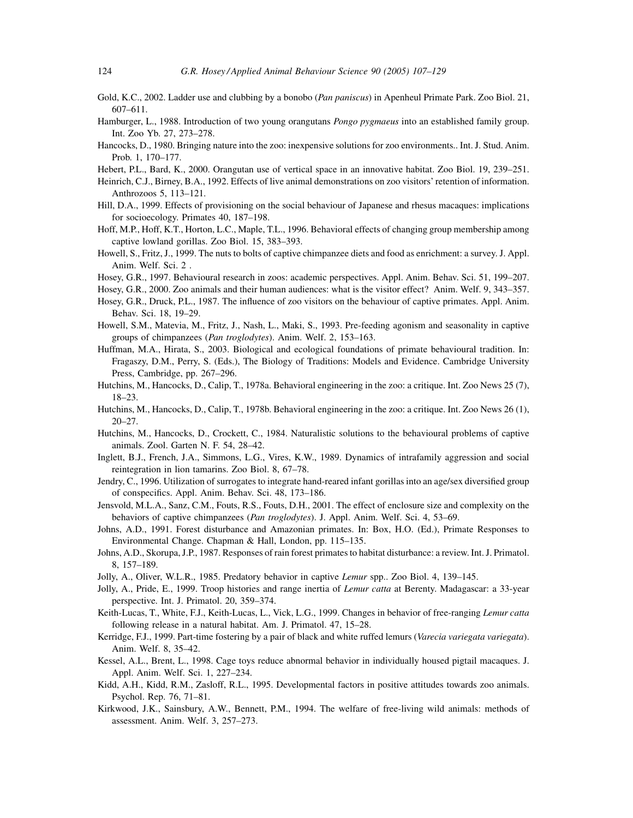- Gold, K.C., 2002. Ladder use and clubbing by a bonobo (Pan paniscus) in Apenheul Primate Park. Zoo Biol. 21, 607–611.
- Hamburger, L., 1988. Introduction of two young orangutans Pongo pygmaeus into an established family group. Int. Zoo Yb. 27, 273–278.
- Hancocks, D., 1980. Bringing nature into the zoo: inexpensive solutions for zoo environments.. Int. J. Stud. Anim. Prob. 1, 170–177.
- Hebert, P.L., Bard, K., 2000. Orangutan use of vertical space in an innovative habitat. Zoo Biol. 19, 239–251.
- Heinrich, C.J., Birney, B.A., 1992. Effects of live animal demonstrations on zoo visitors' retention of information. Anthrozoos 5, 113–121.
- Hill, D.A., 1999. Effects of provisioning on the social behaviour of Japanese and rhesus macaques: implications for socioecology. Primates 40, 187–198.
- Hoff, M.P., Hoff, K.T., Horton, L.C., Maple, T.L., 1996. Behavioral effects of changing group membership among captive lowland gorillas. Zoo Biol. 15, 383–393.
- Howell, S., Fritz, J., 1999. The nuts to bolts of captive chimpanzee diets and food as enrichment: a survey. J. Appl. Anim. Welf. Sci. 2 .
- Hosey, G.R., 1997. Behavioural research in zoos: academic perspectives. Appl. Anim. Behav. Sci. 51, 199–207.

Hosey, G.R., 2000. Zoo animals and their human audiences: what is the visitor effect? Anim. Welf. 9, 343–357.

- Hosey, G.R., Druck, P.L., 1987. The influence of zoo visitors on the behaviour of captive primates. Appl. Anim. Behav. Sci. 18, 19–29.
- Howell, S.M., Matevia, M., Fritz, J., Nash, L., Maki, S., 1993. Pre-feeding agonism and seasonality in captive groups of chimpanzees (Pan troglodytes). Anim. Welf. 2, 153–163.
- Huffman, M.A., Hirata, S., 2003. Biological and ecological foundations of primate behavioural tradition. In: Fragaszy, D.M., Perry, S. (Eds.), The Biology of Traditions: Models and Evidence. Cambridge University Press, Cambridge, pp. 267–296.
- Hutchins, M., Hancocks, D., Calip, T., 1978a. Behavioral engineering in the zoo: a critique. Int. Zoo News 25 (7), 18–23.
- Hutchins, M., Hancocks, D., Calip, T., 1978b. Behavioral engineering in the zoo: a critique. Int. Zoo News 26 (1), 20–27.
- Hutchins, M., Hancocks, D., Crockett, C., 1984. Naturalistic solutions to the behavioural problems of captive animals. Zool. Garten N. F. 54, 28–42.
- Inglett, B.J., French, J.A., Simmons, L.G., Vires, K.W., 1989. Dynamics of intrafamily aggression and social reintegration in lion tamarins. Zoo Biol. 8, 67–78.
- Jendry, C., 1996. Utilization of surrogates to integrate hand-reared infant gorillas into an age/sex diversified group of conspecifics. Appl. Anim. Behav. Sci. 48, 173–186.
- Jensvold, M.L.A., Sanz, C.M., Fouts, R.S., Fouts, D.H., 2001. The effect of enclosure size and complexity on the behaviors of captive chimpanzees (Pan troglodytes). J. Appl. Anim. Welf. Sci. 4, 53–69.
- Johns, A.D., 1991. Forest disturbance and Amazonian primates. In: Box, H.O. (Ed.), Primate Responses to Environmental Change. Chapman & Hall, London, pp. 115–135.
- Johns, A.D., Skorupa, J.P., 1987. Responses of rain forest primates to habitat disturbance: a review. Int. J. Primatol. 8, 157–189.
- Jolly, A., Oliver, W.L.R., 1985. Predatory behavior in captive Lemur spp.. Zoo Biol. 4, 139–145.
- Jolly, A., Pride, E., 1999. Troop histories and range inertia of *Lemur catta* at Berenty. Madagascar: a 33-year perspective. Int. J. Primatol. 20, 359–374.
- Keith-Lucas, T., White, F.J., Keith-Lucas, L., Vick, L.G., 1999. Changes in behavior of free-ranging Lemur catta following release in a natural habitat. Am. J. Primatol. 47, 15–28.
- Kerridge, F.J., 1999. Part-time fostering by a pair of black and white ruffed lemurs (Varecia variegata variegata). Anim. Welf. 8, 35–42.
- Kessel, A.L., Brent, L., 1998. Cage toys reduce abnormal behavior in individually housed pigtail macaques. J. Appl. Anim. Welf. Sci. 1, 227–234.
- Kidd, A.H., Kidd, R.M., Zasloff, R.L., 1995. Developmental factors in positive attitudes towards zoo animals. Psychol. Rep. 76, 71–81.
- Kirkwood, J.K., Sainsbury, A.W., Bennett, P.M., 1994. The welfare of free-living wild animals: methods of assessment. Anim. Welf. 3, 257–273.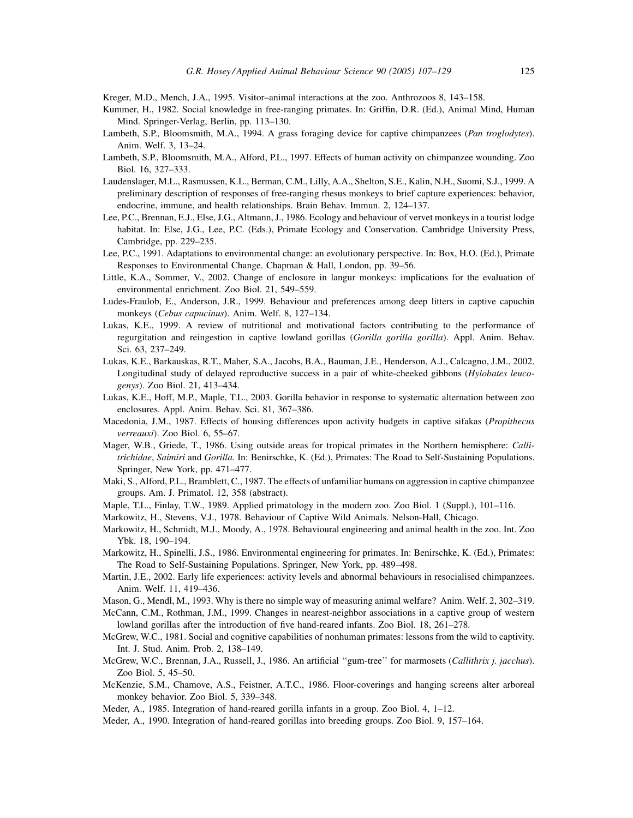- Kreger, M.D., Mench, J.A., 1995. Visitor–animal interactions at the zoo. Anthrozoos 8, 143–158.
- Kummer, H., 1982. Social knowledge in free-ranging primates. In: Griffin, D.R. (Ed.), Animal Mind, Human Mind. Springer-Verlag, Berlin, pp. 113–130.
- Lambeth, S.P., Bloomsmith, M.A., 1994. A grass foraging device for captive chimpanzees (Pan troglodytes). Anim. Welf. 3, 13–24.
- Lambeth, S.P., Bloomsmith, M.A., Alford, P.L., 1997. Effects of human activity on chimpanzee wounding. Zoo Biol. 16, 327–333.
- Laudenslager, M.L., Rasmussen, K.L., Berman, C.M., Lilly, A.A., Shelton, S.E., Kalin, N.H., Suomi, S.J., 1999. A preliminary description of responses of free-ranging rhesus monkeys to brief capture experiences: behavior, endocrine, immune, and health relationships. Brain Behav. Immun. 2, 124–137.
- Lee, P.C., Brennan, E.J., Else, J.G., Altmann, J., 1986. Ecology and behaviour of vervet monkeys in a tourist lodge habitat. In: Else, J.G., Lee, P.C. (Eds.), Primate Ecology and Conservation. Cambridge University Press, Cambridge, pp. 229–235.
- Lee, P.C., 1991. Adaptations to environmental change: an evolutionary perspective. In: Box, H.O. (Ed.), Primate Responses to Environmental Change. Chapman & Hall, London, pp. 39–56.
- Little, K.A., Sommer, V., 2002. Change of enclosure in langur monkeys: implications for the evaluation of environmental enrichment. Zoo Biol. 21, 549–559.
- Ludes-Fraulob, E., Anderson, J.R., 1999. Behaviour and preferences among deep litters in captive capuchin monkeys (Cebus capucinus). Anim. Welf. 8, 127–134.
- Lukas, K.E., 1999. A review of nutritional and motivational factors contributing to the performance of regurgitation and reingestion in captive lowland gorillas (Gorilla gorilla gorilla). Appl. Anim. Behav. Sci. 63, 237–249.
- Lukas, K.E., Barkauskas, R.T., Maher, S.A., Jacobs, B.A., Bauman, J.E., Henderson, A.J., Calcagno, J.M., 2002. Longitudinal study of delayed reproductive success in a pair of white-cheeked gibbons (Hylobates leucogenys). Zoo Biol. 21, 413–434.
- Lukas, K.E., Hoff, M.P., Maple, T.L., 2003. Gorilla behavior in response to systematic alternation between zoo enclosures. Appl. Anim. Behav. Sci. 81, 367–386.
- Macedonia, J.M., 1987. Effects of housing differences upon activity budgets in captive sifakas (Propithecus verreauxi). Zoo Biol. 6, 55–67.
- Mager, W.B., Griede, T., 1986. Using outside areas for tropical primates in the Northern hemisphere: Callitrichidae, Saimiri and Gorilla. In: Benirschke, K. (Ed.), Primates: The Road to Self-Sustaining Populations. Springer, New York, pp. 471–477.
- Maki, S., Alford, P.L., Bramblett, C., 1987. The effects of unfamiliar humans on aggression in captive chimpanzee groups. Am. J. Primatol. 12, 358 (abstract).
- Maple, T.L., Finlay, T.W., 1989. Applied primatology in the modern zoo. Zoo Biol. 1 (Suppl.), 101–116.
- Markowitz, H., Stevens, V.J., 1978. Behaviour of Captive Wild Animals. Nelson-Hall, Chicago.
- Markowitz, H., Schmidt, M.J., Moody, A., 1978. Behavioural engineering and animal health in the zoo. Int. Zoo Ybk. 18, 190–194.
- Markowitz, H., Spinelli, J.S., 1986. Environmental engineering for primates. In: Benirschke, K. (Ed.), Primates: The Road to Self-Sustaining Populations. Springer, New York, pp. 489–498.
- Martin, J.E., 2002. Early life experiences: activity levels and abnormal behaviours in resocialised chimpanzees. Anim. Welf. 11, 419–436.
- Mason, G., Mendl, M., 1993. Why is there no simple way of measuring animal welfare? Anim. Welf. 2, 302–319.
- McCann, C.M., Rothman, J.M., 1999. Changes in nearest-neighbor associations in a captive group of western lowland gorillas after the introduction of five hand-reared infants. Zoo Biol. 18, 261–278.
- McGrew, W.C., 1981. Social and cognitive capabilities of nonhuman primates: lessons from the wild to captivity. Int. J. Stud. Anim. Prob. 2, 138–149.
- McGrew, W.C., Brennan, J.A., Russell, J., 1986. An artificial ''gum-tree'' for marmosets (Callithrix j. jacchus). Zoo Biol. 5, 45–50.
- McKenzie, S.M., Chamove, A.S., Feistner, A.T.C., 1986. Floor-coverings and hanging screens alter arboreal monkey behavior. Zoo Biol. 5, 339–348.
- Meder, A., 1985. Integration of hand-reared gorilla infants in a group. Zoo Biol. 4, 1–12.
- Meder, A., 1990. Integration of hand-reared gorillas into breeding groups. Zoo Biol. 9, 157–164.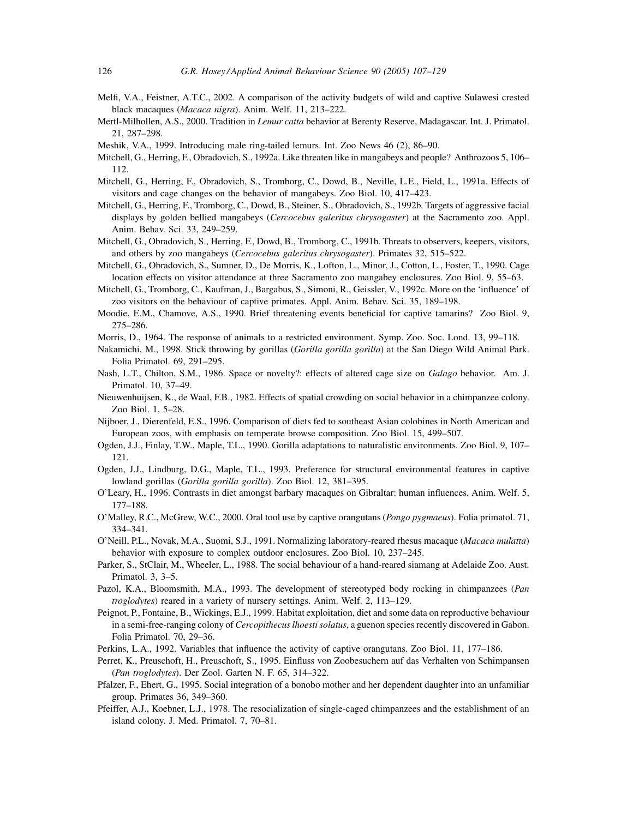- Melfi, V.A., Feistner, A.T.C., 2002. A comparison of the activity budgets of wild and captive Sulawesi crested black macaques (Macaca nigra). Anim. Welf. 11, 213–222.
- Mertl-Milhollen, A.S., 2000. Tradition in Lemur catta behavior at Berenty Reserve, Madagascar. Int. J. Primatol. 21, 287–298.
- Meshik, V.A., 1999. Introducing male ring-tailed lemurs. Int. Zoo News 46 (2), 86–90.
- Mitchell, G., Herring, F., Obradovich, S., 1992a. Like threaten like in mangabeys and people? Anthrozoos 5, 106– 112.
- Mitchell, G., Herring, F., Obradovich, S., Tromborg, C., Dowd, B., Neville, L.E., Field, L., 1991a. Effects of visitors and cage changes on the behavior of mangabeys. Zoo Biol. 10, 417–423.
- Mitchell, G., Herring, F., Tromborg, C., Dowd, B., Steiner, S., Obradovich, S., 1992b. Targets of aggressive facial displays by golden bellied mangabeys (*Cercocebus galeritus chrysogaster*) at the Sacramento zoo. Appl. Anim. Behav. Sci. 33, 249–259.
- Mitchell, G., Obradovich, S., Herring, F., Dowd, B., Tromborg, C., 1991b. Threats to observers, keepers, visitors, and others by zoo mangabeys (Cercocebus galeritus chrysogaster). Primates 32, 515–522.
- Mitchell, G., Obradovich, S., Sumner, D., De Morris, K., Lofton, L., Minor, J., Cotton, L., Foster, T., 1990. Cage location effects on visitor attendance at three Sacramento zoo mangabey enclosures. Zoo Biol. 9, 55–63.
- Mitchell, G., Tromborg, C., Kaufman, J., Bargabus, S., Simoni, R., Geissler, V., 1992c. More on the 'influence' of zoo visitors on the behaviour of captive primates. Appl. Anim. Behav. Sci. 35, 189–198.
- Moodie, E.M., Chamove, A.S., 1990. Brief threatening events beneficial for captive tamarins? Zoo Biol. 9, 275–286.
- Morris, D., 1964. The response of animals to a restricted environment. Symp. Zoo. Soc. Lond. 13, 99–118.
- Nakamichi, M., 1998. Stick throwing by gorillas (Gorilla gorilla gorilla) at the San Diego Wild Animal Park. Folia Primatol. 69, 291–295.
- Nash, L.T., Chilton, S.M., 1986. Space or novelty?: effects of altered cage size on *Galago* behavior. Am. J. Primatol. 10, 37–49.
- Nieuwenhuijsen, K., de Waal, F.B., 1982. Effects of spatial crowding on social behavior in a chimpanzee colony. Zoo Biol. 1, 5–28.
- Nijboer, J., Dierenfeld, E.S., 1996. Comparison of diets fed to southeast Asian colobines in North American and European zoos, with emphasis on temperate browse composition. Zoo Biol. 15, 499–507.
- Ogden, J.J., Finlay, T.W., Maple, T.L., 1990. Gorilla adaptations to naturalistic environments. Zoo Biol. 9, 107– 121.
- Ogden, J.J., Lindburg, D.G., Maple, T.L., 1993. Preference for structural environmental features in captive lowland gorillas (Gorilla gorilla gorilla). Zoo Biol. 12, 381–395.
- O'Leary, H., 1996. Contrasts in diet amongst barbary macaques on Gibraltar: human influences. Anim. Welf. 5, 177–188.
- O'Malley, R.C., McGrew, W.C., 2000. Oral tool use by captive orangutans (Pongo pygmaeus). Folia primatol. 71, 334–341.
- O'Neill, P.L., Novak, M.A., Suomi, S.J., 1991. Normalizing laboratory-reared rhesus macaque (Macaca mulatta) behavior with exposure to complex outdoor enclosures. Zoo Biol. 10, 237–245.
- Parker, S., StClair, M., Wheeler, L., 1988. The social behaviour of a hand-reared siamang at Adelaide Zoo. Aust. Primatol. 3, 3–5.
- Pazol, K.A., Bloomsmith, M.A., 1993. The development of stereotyped body rocking in chimpanzees (Pan troglodytes) reared in a variety of nursery settings. Anim. Welf. 2, 113–129.
- Peignot, P., Fontaine, B., Wickings, E.J., 1999. Habitat exploitation, diet and some data on reproductive behaviour in a semi-free-ranging colony of Cercopithecus lhoesti solatus, a guenon species recently discovered in Gabon. Folia Primatol. 70, 29–36.
- Perkins, L.A., 1992. Variables that influence the activity of captive orangutans. Zoo Biol. 11, 177–186.
- Perret, K., Preuschoft, H., Preuschoft, S., 1995. Einfluss von Zoobesuchern auf das Verhalten von Schimpansen (Pan troglodytes). Der Zool. Garten N. F. 65, 314–322.
- Pfalzer, F., Ehert, G., 1995. Social integration of a bonobo mother and her dependent daughter into an unfamiliar group. Primates 36, 349–360.
- Pfeiffer, A.J., Koebner, L.J., 1978. The resocialization of single-caged chimpanzees and the establishment of an island colony. J. Med. Primatol. 7, 70–81.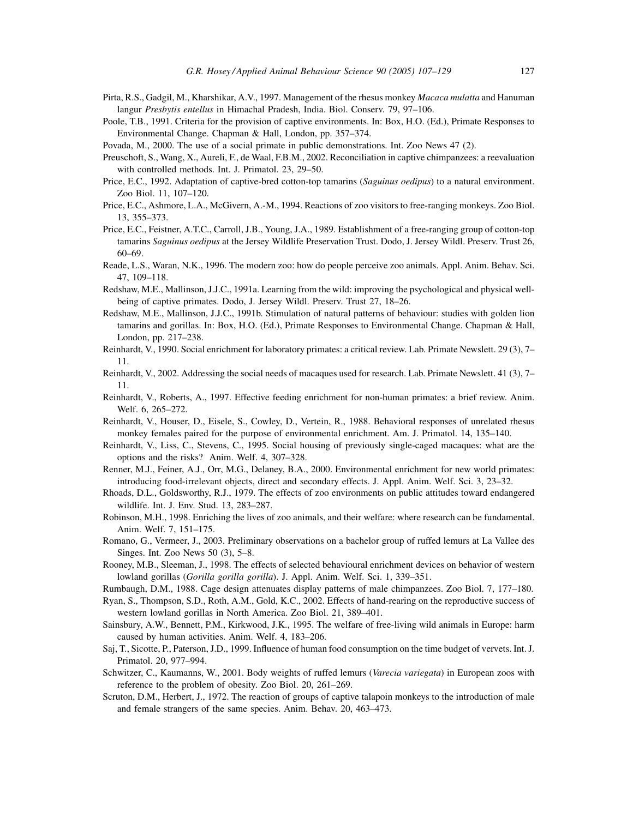- Pirta, R.S., Gadgil, M., Kharshikar, A.V., 1997. Management of the rhesus monkey *Macaca mulatta* and Hanuman langur Presbytis entellus in Himachal Pradesh, India. Biol. Conserv. 79, 97–106.
- Poole, T.B., 1991. Criteria for the provision of captive environments. In: Box, H.O. (Ed.), Primate Responses to Environmental Change. Chapman & Hall, London, pp. 357–374.
- Povada, M., 2000. The use of a social primate in public demonstrations. Int. Zoo News 47 (2).
- Preuschoft, S., Wang, X., Aureli, F., de Waal, F.B.M., 2002. Reconciliation in captive chimpanzees: a reevaluation with controlled methods. Int. J. Primatol. 23, 29–50.
- Price, E.C., 1992. Adaptation of captive-bred cotton-top tamarins (Saguinus oedipus) to a natural environment. Zoo Biol. 11, 107–120.
- Price, E.C., Ashmore, L.A., McGivern, A.-M., 1994. Reactions of zoo visitors to free-ranging monkeys. Zoo Biol. 13, 355–373.
- Price, E.C., Feistner, A.T.C., Carroll, J.B., Young, J.A., 1989. Establishment of a free-ranging group of cotton-top tamarins Saguinus oedipus at the Jersey Wildlife Preservation Trust. Dodo, J. Jersey Wildl. Preserv. Trust 26, 60–69.
- Reade, L.S., Waran, N.K., 1996. The modern zoo: how do people perceive zoo animals. Appl. Anim. Behav. Sci. 47, 109–118.
- Redshaw, M.E., Mallinson, J.J.C., 1991a. Learning from the wild: improving the psychological and physical wellbeing of captive primates. Dodo, J. Jersey Wildl. Preserv. Trust 27, 18–26.
- Redshaw, M.E., Mallinson, J.J.C., 1991b. Stimulation of natural patterns of behaviour: studies with golden lion tamarins and gorillas. In: Box, H.O. (Ed.), Primate Responses to Environmental Change. Chapman & Hall, London, pp. 217–238.
- Reinhardt, V., 1990. Social enrichment for laboratory primates: a critical review. Lab. Primate Newslett. 29 (3), 7– 11.
- Reinhardt, V., 2002. Addressing the social needs of macaques used for research. Lab. Primate Newslett. 41 (3), 7– 11.
- Reinhardt, V., Roberts, A., 1997. Effective feeding enrichment for non-human primates: a brief review. Anim. Welf. 6, 265–272.
- Reinhardt, V., Houser, D., Eisele, S., Cowley, D., Vertein, R., 1988. Behavioral responses of unrelated rhesus monkey females paired for the purpose of environmental enrichment. Am. J. Primatol. 14, 135–140.
- Reinhardt, V., Liss, C., Stevens, C., 1995. Social housing of previously single-caged macaques: what are the options and the risks? Anim. Welf. 4, 307–328.
- Renner, M.J., Feiner, A.J., Orr, M.G., Delaney, B.A., 2000. Environmental enrichment for new world primates: introducing food-irrelevant objects, direct and secondary effects. J. Appl. Anim. Welf. Sci. 3, 23–32.
- Rhoads, D.L., Goldsworthy, R.J., 1979. The effects of zoo environments on public attitudes toward endangered wildlife. Int. J. Env. Stud. 13, 283–287.
- Robinson, M.H., 1998. Enriching the lives of zoo animals, and their welfare: where research can be fundamental. Anim. Welf. 7, 151–175.
- Romano, G., Vermeer, J., 2003. Preliminary observations on a bachelor group of ruffed lemurs at La Vallee des Singes. Int. Zoo News 50 (3), 5–8.
- Rooney, M.B., Sleeman, J., 1998. The effects of selected behavioural enrichment devices on behavior of western lowland gorillas (Gorilla gorilla gorilla). J. Appl. Anim. Welf. Sci. 1, 339–351.
- Rumbaugh, D.M., 1988. Cage design attenuates display patterns of male chimpanzees. Zoo Biol. 7, 177–180.
- Ryan, S., Thompson, S.D., Roth, A.M., Gold, K.C., 2002. Effects of hand-rearing on the reproductive success of western lowland gorillas in North America. Zoo Biol. 21, 389–401.
- Sainsbury, A.W., Bennett, P.M., Kirkwood, J.K., 1995. The welfare of free-living wild animals in Europe: harm caused by human activities. Anim. Welf. 4, 183–206.
- Saj, T., Sicotte, P., Paterson, J.D., 1999. Influence of human food consumption on the time budget of vervets. Int. J. Primatol. 20, 977–994.
- Schwitzer, C., Kaumanns, W., 2001. Body weights of ruffed lemurs (Varecia variegata) in European zoos with reference to the problem of obesity. Zoo Biol. 20, 261–269.
- Scruton, D.M., Herbert, J., 1972. The reaction of groups of captive talapoin monkeys to the introduction of male and female strangers of the same species. Anim. Behav. 20, 463–473.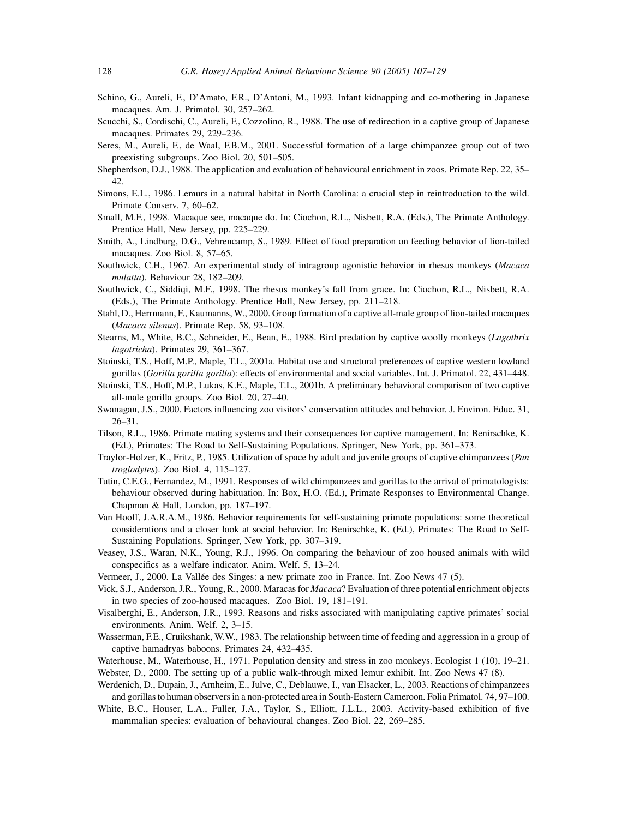- Schino, G., Aureli, F., D'Amato, F.R., D'Antoni, M., 1993. Infant kidnapping and co-mothering in Japanese macaques. Am. J. Primatol. 30, 257–262.
- Scucchi, S., Cordischi, C., Aureli, F., Cozzolino, R., 1988. The use of redirection in a captive group of Japanese macaques. Primates 29, 229–236.
- Seres, M., Aureli, F., de Waal, F.B.M., 2001. Successful formation of a large chimpanzee group out of two preexisting subgroups. Zoo Biol. 20, 501–505.
- Shepherdson, D.J., 1988. The application and evaluation of behavioural enrichment in zoos. Primate Rep. 22, 35– 42.
- Simons, E.L., 1986. Lemurs in a natural habitat in North Carolina: a crucial step in reintroduction to the wild. Primate Conserv. 7, 60–62.
- Small, M.F., 1998. Macaque see, macaque do. In: Ciochon, R.L., Nisbett, R.A. (Eds.), The Primate Anthology. Prentice Hall, New Jersey, pp. 225–229.
- Smith, A., Lindburg, D.G., Vehrencamp, S., 1989. Effect of food preparation on feeding behavior of lion-tailed macaques. Zoo Biol. 8, 57–65.
- Southwick, C.H., 1967. An experimental study of intragroup agonistic behavior in rhesus monkeys (Macaca mulatta). Behaviour 28, 182–209.
- Southwick, C., Siddiqi, M.F., 1998. The rhesus monkey's fall from grace. In: Ciochon, R.L., Nisbett, R.A. (Eds.), The Primate Anthology. Prentice Hall, New Jersey, pp. 211–218.
- Stahl, D., Herrmann, F., Kaumanns, W., 2000. Group formation of a captive all-male group of lion-tailed macaques (Macaca silenus). Primate Rep. 58, 93–108.
- Stearns, M., White, B.C., Schneider, E., Bean, E., 1988. Bird predation by captive woolly monkeys (Lagothrix lagotricha). Primates 29, 361–367.
- Stoinski, T.S., Hoff, M.P., Maple, T.L., 2001a. Habitat use and structural preferences of captive western lowland gorillas (Gorilla gorilla gorilla): effects of environmental and social variables. Int. J. Primatol. 22, 431–448.
- Stoinski, T.S., Hoff, M.P., Lukas, K.E., Maple, T.L., 2001b. A preliminary behavioral comparison of two captive all-male gorilla groups. Zoo Biol. 20, 27–40.
- Swanagan, J.S., 2000. Factors influencing zoo visitors' conservation attitudes and behavior. J. Environ. Educ. 31, 26–31.
- Tilson, R.L., 1986. Primate mating systems and their consequences for captive management. In: Benirschke, K. (Ed.), Primates: The Road to Self-Sustaining Populations. Springer, New York, pp. 361–373.
- Traylor-Holzer, K., Fritz, P., 1985. Utilization of space by adult and juvenile groups of captive chimpanzees (Pan troglodytes). Zoo Biol. 4, 115–127.
- Tutin, C.E.G., Fernandez, M., 1991. Responses of wild chimpanzees and gorillas to the arrival of primatologists: behaviour observed during habituation. In: Box, H.O. (Ed.), Primate Responses to Environmental Change. Chapman & Hall, London, pp. 187–197.
- Van Hooff, J.A.R.A.M., 1986. Behavior requirements for self-sustaining primate populations: some theoretical considerations and a closer look at social behavior. In: Benirschke, K. (Ed.), Primates: The Road to Self-Sustaining Populations. Springer, New York, pp. 307–319.
- Veasey, J.S., Waran, N.K., Young, R.J., 1996. On comparing the behaviour of zoo housed animals with wild conspecifics as a welfare indicator. Anim. Welf. 5, 13–24.
- Vermeer, J., 2000. La Vallée des Singes: a new primate zoo in France. Int. Zoo News 47 (5).
- Vick, S.J., Anderson, J.R., Young, R., 2000. Maracas for Macaca? Evaluation of three potential enrichment objects in two species of zoo-housed macaques. Zoo Biol. 19, 181–191.
- Visalberghi, E., Anderson, J.R., 1993. Reasons and risks associated with manipulating captive primates' social environments. Anim. Welf. 2, 3–15.
- Wasserman, F.E., Cruikshank, W.W., 1983. The relationship between time of feeding and aggression in a group of captive hamadryas baboons. Primates 24, 432–435.
- Waterhouse, M., Waterhouse, H., 1971. Population density and stress in zoo monkeys. Ecologist 1 (10), 19–21.
- Webster, D., 2000. The setting up of a public walk-through mixed lemur exhibit. Int. Zoo News 47 (8).
- Werdenich, D., Dupain, J., Arnheim, E., Julve, C., Deblauwe, I., van Elsacker, L., 2003. Reactions of chimpanzees and gorillas to human observers in a non-protected area in South-Eastern Cameroon. Folia Primatol. 74, 97–100.
- White, B.C., Houser, L.A., Fuller, J.A., Taylor, S., Elliott, J.L.L., 2003. Activity-based exhibition of five mammalian species: evaluation of behavioural changes. Zoo Biol. 22, 269–285.